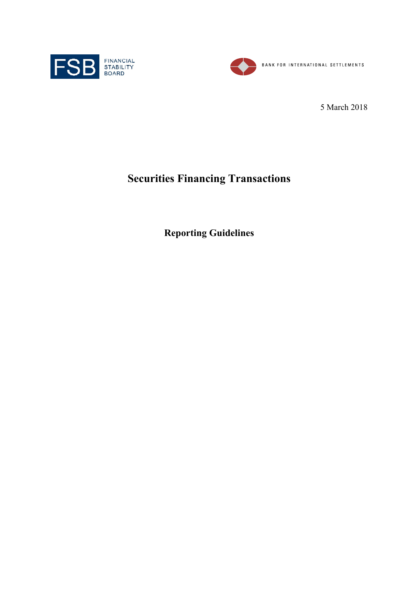



5 March 2018

# **Securities Financing Transactions**

**Reporting Guidelines**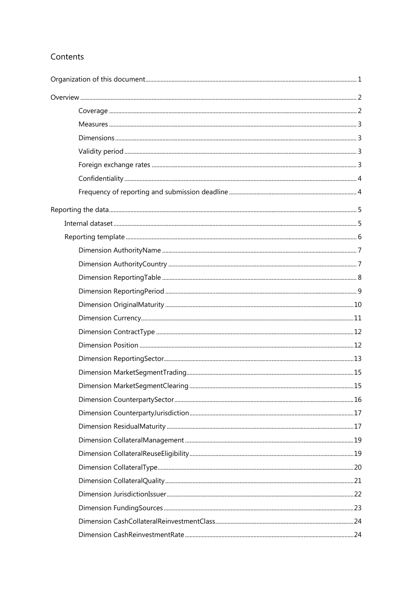## Contents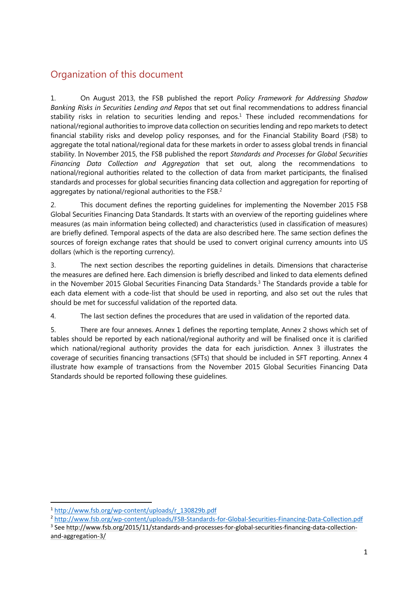## Organization of this document

1. On August 2013, the FSB published the report *Policy Framework for Addressing Shadow Banking Risks in Securities Lending and Repos* that set out final recommendations to address financial stability risks in relation to securities lending and repos.<sup>1</sup> These included recommendations for national/regional authorities to improve data collection on securities lending and repo markets to detect financial stability risks and develop policy responses, and for the Financial Stability Board (FSB) to aggregate the total national/regional data for these markets in order to assess global trends in financial stability. In November 2015, the FSB published the report *Standards and Processes for Global Securities Financing Data Collection and Aggregation* that set out, along the recommendations to national/regional authorities related to the collection of data from market participants, the finalised standards and processes for global securities financing data collection and aggregation for reporting of aggregates by national/regional authorities to the FSB.<sup>2</sup>

2. This document defines the reporting guidelines for implementing the November 2015 FSB Global Securities Financing Data Standards. It starts with an overview of the reporting guidelines where measures (as main information being collected) and characteristics (used in classification of measures) are briefly defined. Temporal aspects of the data are also described here. The same section defines the sources of foreign exchange rates that should be used to convert original currency amounts into US dollars (which is the reporting currency).

3. The next section describes the reporting guidelines in details. Dimensions that characterise the measures are defined here. Each dimension is briefly described and linked to data elements defined in the November 2015 Global Securities Financing Data Standards.3 The Standards provide a table for each data element with a code-list that should be used in reporting, and also set out the rules that should be met for successful validation of the reported data.

4. The last section defines the procedures that are used in validation of the reported data.

5. There are four annexes. Annex 1 defines the reporting template, Annex 2 shows which set of tables should be reported by each national/regional authority and will be finalised once it is clarified which national/regional authority provides the data for each jurisdiction. Annex 3 illustrates the coverage of securities financing transactions (SFTs) that should be included in SFT reporting. Annex 4 illustrate how example of transactions from the November 2015 Global Securities Financing Data Standards should be reported following these guidelines.

 $\overline{\phantom{a}}$ 

<sup>&</sup>lt;sup>1</sup> http://www.fsb.org/wp-content/uploads/r\_130829b.pdf<br><sup>2</sup> http://www.fsb.org/wp-content/uploads/FSB-Standards-for-Global-Securities-Financing-Data-Collection.pdf

<sup>&</sup>lt;sup>3</sup> See http://www.fsb.org/2015/11/standards-and-processes-for-global-securities-financing-data-collectionand-aggregation-3/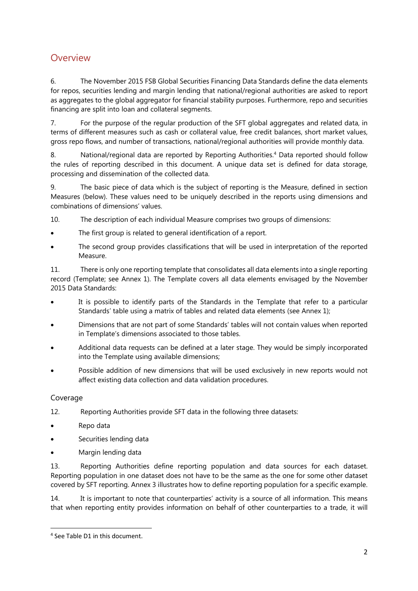## **Overview**

6. The November 2015 FSB Global Securities Financing Data Standards define the data elements for repos, securities lending and margin lending that national/regional authorities are asked to report as aggregates to the global aggregator for financial stability purposes. Furthermore, repo and securities financing are split into loan and collateral segments.

7. For the purpose of the regular production of the SFT global aggregates and related data, in terms of different measures such as cash or collateral value, free credit balances, short market values, gross repo flows, and number of transactions, national/regional authorities will provide monthly data.

8. National/regional data are reported by Reporting Authorities.4 Data reported should follow the rules of reporting described in this document. A unique data set is defined for data storage, processing and dissemination of the collected data.

9. The basic piece of data which is the subject of reporting is the Measure, defined in section Measures (below). These values need to be uniquely described in the reports using dimensions and combinations of dimensions' values.

10. The description of each individual Measure comprises two groups of dimensions:

- The first group is related to general identification of a report.
- The second group provides classifications that will be used in interpretation of the reported Measure.

11. There is only one reporting template that consolidates all data elements into a single reporting record (Template; see Annex 1). The Template covers all data elements envisaged by the November 2015 Data Standards:

- It is possible to identify parts of the Standards in the Template that refer to a particular Standards' table using a matrix of tables and related data elements (see Annex 1);
- Dimensions that are not part of some Standards' tables will not contain values when reported in Template's dimensions associated to those tables.
- Additional data requests can be defined at a later stage. They would be simply incorporated into the Template using available dimensions;
- Possible addition of new dimensions that will be used exclusively in new reports would not affect existing data collection and data validation procedures.

## Coverage

 $\overline{\phantom{a}}$ 

- 12. Reporting Authorities provide SFT data in the following three datasets:
- Repo data
- Securities lending data
- Margin lending data

13. Reporting Authorities define reporting population and data sources for each dataset. Reporting population in one dataset does not have to be the same as the one for some other dataset covered by SFT reporting. Annex 3 illustrates how to define reporting population for a specific example.

14. It is important to note that counterparties' activity is a source of all information. This means that when reporting entity provides information on behalf of other counterparties to a trade, it will

<sup>4</sup> See Table D1 in this document.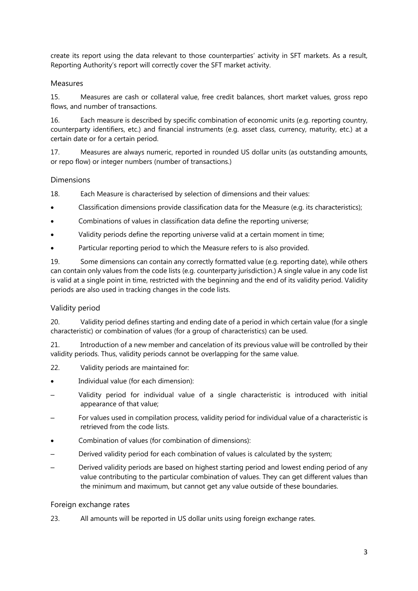create its report using the data relevant to those counterparties' activity in SFT markets. As a result, Reporting Authority's report will correctly cover the SFT market activity.

## Measures

15. Measures are cash or collateral value, free credit balances, short market values, gross repo flows, and number of transactions.

16. Each measure is described by specific combination of economic units (e.g. reporting country, counterparty identifiers, etc.) and financial instruments (e.g. asset class, currency, maturity, etc.) at a certain date or for a certain period.

17. Measures are always numeric, reported in rounded US dollar units (as outstanding amounts, or repo flow) or integer numbers (number of transactions.)

## Dimensions

18. Each Measure is characterised by selection of dimensions and their values:

- Classification dimensions provide classification data for the Measure (e.g. its characteristics);
- Combinations of values in classification data define the reporting universe;
- Validity periods define the reporting universe valid at a certain moment in time;
- Particular reporting period to which the Measure refers to is also provided.

19. Some dimensions can contain any correctly formatted value (e.g. reporting date), while others can contain only values from the code lists (e.g. counterparty jurisdiction.) A single value in any code list is valid at a single point in time, restricted with the beginning and the end of its validity period. Validity periods are also used in tracking changes in the code lists.

## Validity period

20. Validity period defines starting and ending date of a period in which certain value (for a single characteristic) or combination of values (for a group of characteristics) can be used.

21. Introduction of a new member and cancelation of its previous value will be controlled by their validity periods. Thus, validity periods cannot be overlapping for the same value.

- 22. Validity periods are maintained for:
- Individual value (for each dimension):
- Validity period for individual value of a single characteristic is introduced with initial appearance of that value;
- For values used in compilation process, validity period for individual value of a characteristic is retrieved from the code lists.
- Combination of values (for combination of dimensions):
- Derived validity period for each combination of values is calculated by the system;
- Derived validity periods are based on highest starting period and lowest ending period of any value contributing to the particular combination of values. They can get different values than the minimum and maximum, but cannot get any value outside of these boundaries.

#### Foreign exchange rates

23. All amounts will be reported in US dollar units using foreign exchange rates.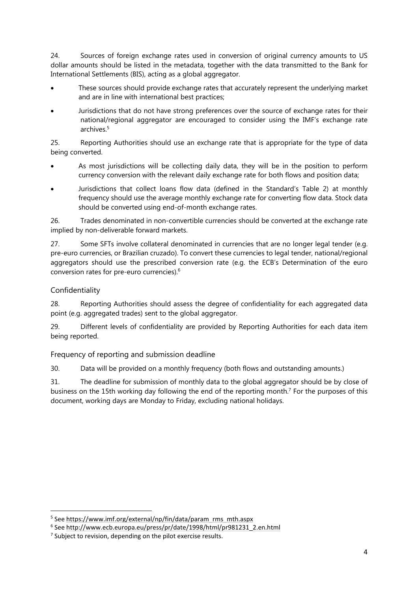24. Sources of foreign exchange rates used in conversion of original currency amounts to US dollar amounts should be listed in the metadata, together with the data transmitted to the Bank for International Settlements (BIS), acting as a global aggregator.

- These sources should provide exchange rates that accurately represent the underlying market and are in line with international best practices;
- Jurisdictions that do not have strong preferences over the source of exchange rates for their national/regional aggregator are encouraged to consider using the IMF's exchange rate archives.5

25. Reporting Authorities should use an exchange rate that is appropriate for the type of data being converted.

- As most jurisdictions will be collecting daily data, they will be in the position to perform currency conversion with the relevant daily exchange rate for both flows and position data;
- Jurisdictions that collect loans flow data (defined in the Standard's Table 2) at monthly frequency should use the average monthly exchange rate for converting flow data. Stock data should be converted using end-of-month exchange rates.

26. Trades denominated in non-convertible currencies should be converted at the exchange rate implied by non-deliverable forward markets.

27. Some SFTs involve collateral denominated in currencies that are no longer legal tender (e.g. pre-euro currencies, or Brazilian cruzado). To convert these currencies to legal tender, national/regional aggregators should use the prescribed conversion rate (e.g. the ECB's Determination of the euro conversion rates for pre-euro currencies).6

## Confidentiality

 $\overline{\phantom{a}}$ 

28. Reporting Authorities should assess the degree of confidentiality for each aggregated data point (e.g. aggregated trades) sent to the global aggregator.

29. Different levels of confidentiality are provided by Reporting Authorities for each data item being reported.

Frequency of reporting and submission deadline

30. Data will be provided on a monthly frequency (both flows and outstanding amounts.)

31. The deadline for submission of monthly data to the global aggregator should be by close of business on the 15th working day following the end of the reporting month.<sup>7</sup> For the purposes of this document, working days are Monday to Friday, excluding national holidays.

<sup>&</sup>lt;sup>5</sup> See https://www.imf.org/external/np/fin/data/param rms mth.aspx

<sup>&</sup>lt;sup>5</sup> See <u>https://www.imf.org/external/np/fin/data/param\_rms\_mth.aspx</u><br><sup>6</sup> See <u>http://www.ecb.europa.eu/press/pr/date/1998/html/pr981231\_2.en.html</u>

<sup>&</sup>lt;sup>7</sup> Subject to revision, depending on the pilot exercise results.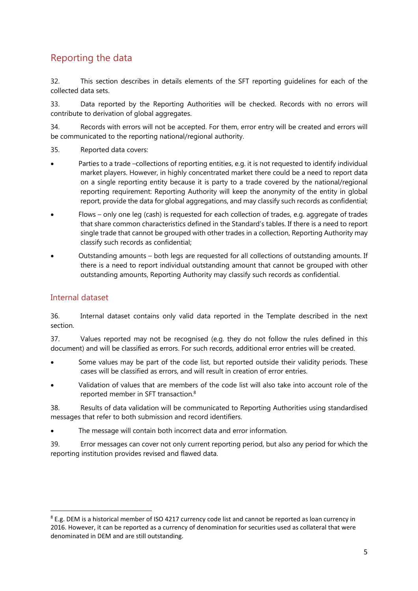## Reporting the data

32. This section describes in details elements of the SFT reporting guidelines for each of the collected data sets.

33. Data reported by the Reporting Authorities will be checked. Records with no errors will contribute to derivation of global aggregates.

34. Records with errors will not be accepted. For them, error entry will be created and errors will be communicated to the reporting national/regional authority.

- 35. Reported data covers:
- Parties to a trade –collections of reporting entities, e.g. it is not requested to identify individual market players. However, in highly concentrated market there could be a need to report data on a single reporting entity because it is party to a trade covered by the national/regional reporting requirement: Reporting Authority will keep the anonymity of the entity in global report, provide the data for global aggregations, and may classify such records as confidential;
- Flows only one leg (cash) is requested for each collection of trades, e.g. aggregate of trades that share common characteristics defined in the Standard's tables. If there is a need to report single trade that cannot be grouped with other trades in a collection, Reporting Authority may classify such records as confidential;
- Outstanding amounts both legs are requested for all collections of outstanding amounts. If there is a need to report individual outstanding amount that cannot be grouped with other outstanding amounts, Reporting Authority may classify such records as confidential.

## Internal dataset

 $\overline{\phantom{a}}$ 

36. Internal dataset contains only valid data reported in the Template described in the next section.

37. Values reported may not be recognised (e.g. they do not follow the rules defined in this document) and will be classified as errors. For such records, additional error entries will be created.

- Some values may be part of the code list, but reported outside their validity periods. These cases will be classified as errors, and will result in creation of error entries.
- Validation of values that are members of the code list will also take into account role of the reported member in SFT transaction.8

38. Results of data validation will be communicated to Reporting Authorities using standardised messages that refer to both submission and record identifiers.

The message will contain both incorrect data and error information.

39. Error messages can cover not only current reporting period, but also any period for which the reporting institution provides revised and flawed data.

<sup>&</sup>lt;sup>8</sup> E.g. DEM is a historical member of ISO 4217 currency code list and cannot be reported as loan currency in 2016. However, it can be reported as a currency of denomination for securities used as collateral that were denominated in DEM and are still outstanding.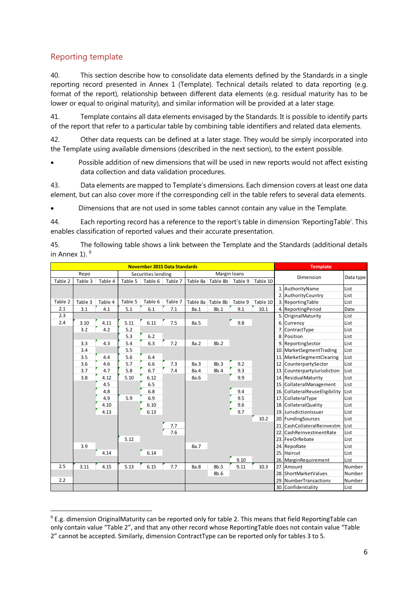## Reporting template

 $\overline{\phantom{a}}$ 

40. This section describe how to consolidate data elements defined by the Standards in a single reporting record presented in Annex 1 (Template). Technical details related to data reporting (e.g. format of the report), relationship between different data elements (e.g. residual maturity has to be lower or equal to original maturity), and similar information will be provided at a later stage.

41. Template contains all data elements envisaged by the Standards. It is possible to identify parts of the report that refer to a particular table by combining table identifiers and related data elements.

42. Other data requests can be defined at a later stage. They would be simply incorporated into the Template using available dimensions (described in the next section), to the extent possible.

 Possible addition of new dimensions that will be used in new reports would not affect existing data collection and data validation procedures.

43. Data elements are mapped to Template's dimensions. Each dimension covers at least one data element, but can also cover more if the corresponding cell in the table refers to several data elements.

Dimensions that are not used in some tables cannot contain any value in the Template.

44. Each reporting record has a reference to the report's table in dimension 'ReportingTable'. This enables classification of reported values and their accurate presentation.

45. The following table shows a link between the Template and the Standards (additional details in Annex 1).  $9$ 

| <b>November 2015 Data Standards</b> |         |         |         |                    |         | <b>Template</b> |                           |         |          |           |                                |           |
|-------------------------------------|---------|---------|---------|--------------------|---------|-----------------|---------------------------|---------|----------|-----------|--------------------------------|-----------|
|                                     | Repo    |         |         | Securities lending |         |                 | Margin loans              |         |          | Dimension |                                |           |
| Table 2                             | Table 3 | Table 4 | Table 5 | Table 6            | Table 7 | Table 8a        | Table 8b                  | Table 9 | Table 10 |           |                                | Data type |
|                                     |         |         |         |                    |         |                 |                           |         |          |           | 1. AuthorityName               | List      |
|                                     |         |         |         |                    |         |                 |                           |         |          |           | 2. Authority Country           | List      |
| Table 2                             | Table 3 | Table 4 | Table 5 | Table 6            | Table 7 |                 | Table 8a Table 8b Table 9 |         | Table 10 |           | 3. Reporting Table             | List      |
| 2.1                                 | 3.1     | 4.1     | 5.1     | 6.1                | 7.1     | 8a.1            | 8b.1                      | 9.1     | 10.1     |           | 4. ReportingPeriod             | Date      |
| 2.3                                 |         |         |         |                    |         |                 |                           |         |          |           | 5. Original Maturity           | List      |
| 2.4                                 | 3.10    | 4.11    | 5.11    | 6.11               | 7.5     | 8a.5            |                           | 9.8     |          |           | 6. Currency                    | List      |
|                                     | 3.2     | 4.2     | 5.2     |                    |         |                 |                           |         |          |           | 7. ContractType                | List      |
|                                     |         |         | 5.3     | 6.2                |         |                 |                           |         |          |           | 8. Position                    | List      |
|                                     | 3.3     | 4.3     | 5.4     | 6.3                | 7.2     | 8a.2            | 8b.2                      |         |          |           | 9. ReportingSector             | List      |
|                                     | 3.4     |         | 5.5     |                    |         |                 |                           |         |          |           | 10. MarketSegmentTrading       | List      |
|                                     | 3.5     | 4.4     | 5.6     | 6.4                |         |                 |                           |         |          |           | 11. MarketSegmentClearing      | List      |
|                                     | 3.6     | 4.6     | 5.7     | 6.6                | 7.3     | 8a.3            | 8b.3                      | 9.2     |          |           | 12. CounterpartySector         | List      |
|                                     | 3.7     | 4.7     | 5.8     | 6.7                | 7.4     | 8a.4            | 8b.4                      | 9.3     |          |           | 13. CounterpartyJurisdiction   | List      |
|                                     | 3.8     | 4.12    | 5.10    | 6.12               |         | 8a.6            |                           | 9.9     |          |           | 14. ResidualMaturity           | List      |
|                                     |         | 4.5     |         | 6.5                |         |                 |                           |         |          |           | 15. CollateralManagement       | List      |
|                                     |         | 4.8     |         | 6.8                |         |                 |                           | 9.4     |          |           | 16. CollateralReuseEligibility | List      |
|                                     |         | 4.9     | 5.9     | 6.9                |         |                 |                           | 9.5     |          |           | 17. CollateralType             | List      |
|                                     |         | 4.10    |         | 6.10               |         |                 |                           | 9.6     |          |           | 18. Collateral Quality         | List      |
|                                     |         | 4.13    |         | 6.13               |         |                 |                           | 9.7     |          |           | 19. JurisdictionIssuer         | List      |
|                                     |         |         |         |                    |         |                 |                           |         | 10.2     |           | 20. FundingSources             | List      |
|                                     |         |         |         |                    | 7.7     |                 |                           |         |          |           | 21. CashCollateralReinvestm    | List      |
|                                     |         |         |         |                    | 7.6     |                 |                           |         |          |           | 22. CashReinvestmentRate       | List      |
|                                     |         |         | 5.12    |                    |         |                 |                           |         |          |           | 23. FeeOrRebate                | List      |
|                                     | 3.9     |         |         |                    |         | 8a.7            |                           |         |          |           | 24. RepoRate                   | List      |
|                                     |         | 4.14    |         | 6.14               |         |                 |                           |         |          |           | 25. Haircut                    | List      |
|                                     |         |         |         |                    |         |                 |                           | 9.10    |          |           | 26. MarginRequirement          | List      |
| 2.5                                 | 3.11    | 4.15    | 5.13    | 6.15               | 7.7     | 8a.8            | 8b.5                      | 9.11    | 10.3     |           | 27. Amount                     | Number    |
|                                     |         |         |         |                    |         |                 | 8b.6                      |         |          |           | 28. ShortMarketValues          | Number    |
| 2.2                                 |         |         |         |                    |         |                 |                           |         |          |           | 29. NumberTransactions         | Number    |
|                                     |         |         |         |                    |         |                 |                           |         |          |           | 30. Confidentiality            | List      |

<sup>9</sup> E.g. dimension OriginalMaturity can be reported only for table 2. This means that field ReportingTable can only contain value "Table 2", and that any other record whose ReportingTable does not contain value "Table 2" cannot be accepted. Similarly, dimension ContractType can be reported only for tables 3 to 5.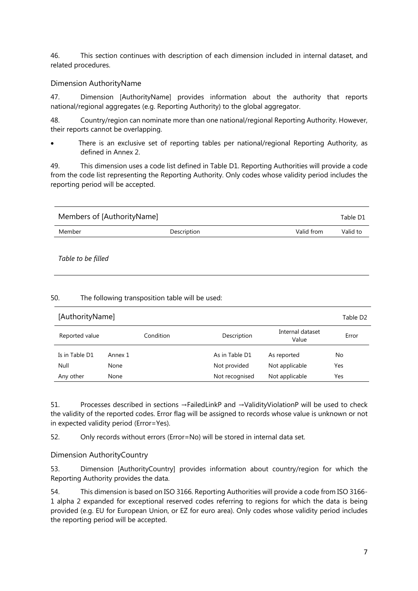46. This section continues with description of each dimension included in internal dataset, and related procedures.

## Dimension AuthorityName

47. Dimension [AuthorityName] provides information about the authority that reports national/regional aggregates (e.g. Reporting Authority) to the global aggregator.

48. Country/region can nominate more than one national/regional Reporting Authority. However, their reports cannot be overlapping.

 There is an exclusive set of reporting tables per national/regional Reporting Authority, as defined in Annex 2.

49. This dimension uses a code list defined in Table D1. Reporting Authorities will provide a code from the code list representing the Reporting Authority. Only codes whose validity period includes the reporting period will be accepted.

| Members of [AuthorityName] |             |            | Table D1 |
|----------------------------|-------------|------------|----------|
| Member                     | Description | Valid from | Valid to |
|                            |             |            |          |

*Table to be filled* 

## 50. The following transposition table will be used:

| [AuthorityName] |           |                |                           |       |
|-----------------|-----------|----------------|---------------------------|-------|
| Reported value  | Condition | Description    | Internal dataset<br>Value | Error |
| Is in Table D1  | Annex 1   | As in Table D1 | As reported               | No    |
| Null            | None      | Not provided   | Not applicable            | Yes   |
| Any other       | None      | Not recognised | Not applicable            | Yes   |

51. Processes described in sections →FailedLinkP and →ValidityViolationP will be used to check the validity of the reported codes. Error flag will be assigned to records whose value is unknown or not in expected validity period (Error=Yes).

52. Only records without errors (Error=No) will be stored in internal data set.

Dimension AuthorityCountry

53. Dimension [AuthorityCountry] provides information about country/region for which the Reporting Authority provides the data.

54. This dimension is based on ISO 3166. Reporting Authorities will provide a code from ISO 3166- 1 alpha 2 expanded for exceptional reserved codes referring to regions for which the data is being provided (e.g. EU for European Union, or EZ for euro area). Only codes whose validity period includes the reporting period will be accepted.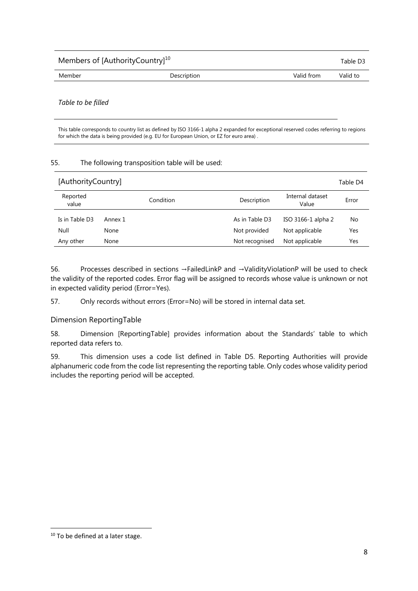| Members of [AuthorityCountry] <sup>10</sup> |             | Table D3   |          |
|---------------------------------------------|-------------|------------|----------|
| Member                                      | Description | Valid from | Valid to |
|                                             |             |            |          |

*Table to be filled* 

This table corresponds to country list as defined by ISO 3166-1 alpha 2 expanded for exceptional reserved codes referring to regions for which the data is being provided (e.g. EU for European Union, or EZ for euro area) .

#### 55. The following transposition table will be used:

| [AuthorityCountry] |           | Table D4                                          |
|--------------------|-----------|---------------------------------------------------|
| Reported<br>value  | Condition | Internal dataset<br>Description<br>Error<br>Value |
| Is in Table D3     | Annex 1   | As in Table D3<br>ISO 3166-1 alpha 2<br>No        |
| Null               | None      | Not provided<br>Not applicable<br>Yes             |
| Any other          | None      | Not applicable<br>Not recognised<br>Yes           |

56. Processes described in sections →FailedLinkP and →ValidityViolationP will be used to check the validity of the reported codes. Error flag will be assigned to records whose value is unknown or not in expected validity period (Error=Yes).

57. Only records without errors (Error=No) will be stored in internal data set.

## Dimension ReportingTable

58. Dimension [ReportingTable] provides information about the Standards' table to which reported data refers to.

59. This dimension uses a code list defined in Table D5. Reporting Authorities will provide alphanumeric code from the code list representing the reporting table. Only codes whose validity period includes the reporting period will be accepted.

 $\overline{\phantom{a}}$ 

<sup>&</sup>lt;sup>10</sup> To be defined at a later stage.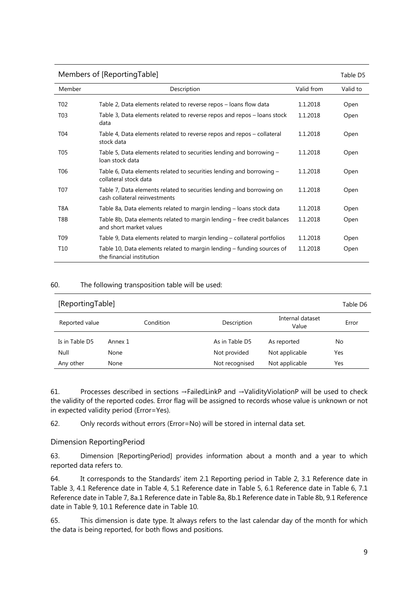| Members of [ReportingTable] |                                                                                                        |            |          |  |
|-----------------------------|--------------------------------------------------------------------------------------------------------|------------|----------|--|
| Member                      | Description                                                                                            | Valid from | Valid to |  |
| T <sub>02</sub>             | Table 2, Data elements related to reverse repos – loans flow data                                      | 1.1.2018   | Open     |  |
| T <sub>0</sub> 3            | Table 3, Data elements related to reverse repos and repos – loans stock<br>data                        | 1.1.2018   | Open     |  |
| T <sub>04</sub>             | Table 4, Data elements related to reverse repos and repos – collateral<br>stock data                   | 1.1.2018   | Open     |  |
| T05                         | Table 5, Data elements related to securities lending and borrowing –<br>loan stock data                | 1.1.2018   | Open     |  |
| T <sub>06</sub>             | Table 6, Data elements related to securities lending and borrowing -<br>collateral stock data          | 1.1.2018   | Open     |  |
| T07                         | Table 7, Data elements related to securities lending and borrowing on<br>cash collateral reinvestments | 1.1.2018   | Open     |  |
| T8A                         | Table 8a, Data elements related to margin lending – loans stock data                                   | 1.1.2018   | Open     |  |
| T8B                         | Table 8b, Data elements related to margin lending – free credit balances<br>and short market values    | 1.1.2018   | Open     |  |
| T <sub>09</sub>             | Table 9, Data elements related to margin lending – collateral portfolios                               | 1.1.2018   | Open     |  |
| T <sub>10</sub>             | Table 10, Data elements related to margin lending – funding sources of<br>the financial institution    | 1.1.2018   | Open     |  |

| [ReportingTable] |           |                |                           |       |
|------------------|-----------|----------------|---------------------------|-------|
| Reported value   | Condition | Description    | Internal dataset<br>Value | Error |
| Is in Table D5   | Annex 1   | As in Table D5 | As reported               | No    |
| Null             | None      | Not provided   | Not applicable            | Yes   |
| Any other        | None      | Not recognised | Not applicable            | Yes   |

61. Processes described in sections →FailedLinkP and →ValidityViolationP will be used to check the validity of the reported codes. Error flag will be assigned to records whose value is unknown or not in expected validity period (Error=Yes).

62. Only records without errors (Error=No) will be stored in internal data set.

## Dimension ReportingPeriod

63. Dimension [ReportingPeriod] provides information about a month and a year to which reported data refers to.

64. It corresponds to the Standards' item 2.1 Reporting period in Table 2, 3.1 Reference date in Table 3, 4.1 Reference date in Table 4, 5.1 Reference date in Table 5, 6.1 Reference date in Table 6, 7.1 Reference date in Table 7, 8a.1 Reference date in Table 8a, 8b.1 Reference date in Table 8b, 9.1 Reference date in Table 9, 10.1 Reference date in Table 10.

65. This dimension is date type. It always refers to the last calendar day of the month for which the data is being reported, for both flows and positions.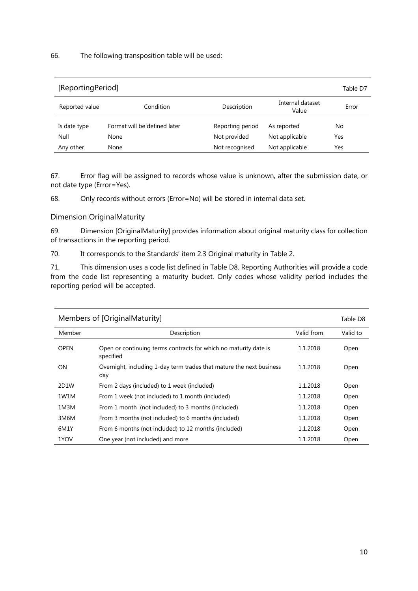| [ReportingPeriod] |                              |                  |                           |       |
|-------------------|------------------------------|------------------|---------------------------|-------|
| Reported value    | Condition                    | Description      | Internal dataset<br>Value | Error |
| Is date type      | Format will be defined later | Reporting period | As reported               | No    |
| Null              | None                         | Not provided     | Not applicable            | Yes   |
| Any other         | None                         | Not recognised   | Not applicable            | Yes   |

67. Error flag will be assigned to records whose value is unknown, after the submission date, or not date type (Error=Yes).

68. Only records without errors (Error=No) will be stored in internal data set.

Dimension OriginalMaturity

69. Dimension [OriginalMaturity] provides information about original maturity class for collection of transactions in the reporting period.

70. It corresponds to the Standards' item 2.3 Original maturity in Table 2.

71. This dimension uses a code list defined in Table D8. Reporting Authorities will provide a code from the code list representing a maturity bucket. Only codes whose validity period includes the reporting period will be accepted.

| Members of [OriginalMaturity] |                                                                               |            |          |  |
|-------------------------------|-------------------------------------------------------------------------------|------------|----------|--|
| Member                        | Description                                                                   | Valid from | Valid to |  |
| <b>OPEN</b>                   | Open or continuing terms contracts for which no maturity date is<br>specified | 1.1.2018   | Open     |  |
| ON.                           | Overnight, including 1-day term trades that mature the next business<br>day   | 1.1.2018   | Open     |  |
| 2D1W                          | From 2 days (included) to 1 week (included)                                   | 1.1.2018   | Open     |  |
| 1W1M                          | From 1 week (not included) to 1 month (included)                              | 1.1.2018   | Open     |  |
| 1M3M                          | From 1 month (not included) to 3 months (included)                            | 1.1.2018   | Open     |  |
| 3M6M                          | From 3 months (not included) to 6 months (included)                           | 1.1.2018   | Open     |  |
| 6M1Y                          | From 6 months (not included) to 12 months (included)                          | 1.1.2018   | Open     |  |
| 1YOV                          | One year (not included) and more                                              | 1.1.2018   | Open     |  |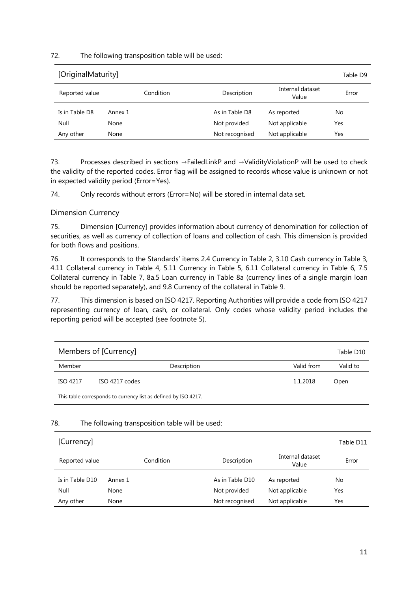| [OriginalMaturity] |           |                |                           |       |
|--------------------|-----------|----------------|---------------------------|-------|
| Reported value     | Condition | Description    | Internal dataset<br>Value | Error |
| Is in Table D8     | Annex 1   | As in Table D8 | As reported               | No    |
| Null               | None      | Not provided   | Not applicable            | Yes   |
| Any other          | None      | Not recognised | Not applicable            | Yes   |

73. Processes described in sections →FailedLinkP and →ValidityViolationP will be used to check the validity of the reported codes. Error flag will be assigned to records whose value is unknown or not in expected validity period (Error=Yes).

74. Only records without errors (Error=No) will be stored in internal data set.

#### Dimension Currency

75. Dimension [Currency] provides information about currency of denomination for collection of securities, as well as currency of collection of loans and collection of cash. This dimension is provided for both flows and positions.

76. It corresponds to the Standards' items 2.4 Currency in Table 2, 3.10 Cash currency in Table 3, 4.11 Collateral currency in Table 4, 5.11 Currency in Table 5, 6.11 Collateral currency in Table 6, 7.5 Collateral currency in Table 7, 8a.5 Loan currency in Table 8a (currency lines of a single margin loan should be reported separately), and 9.8 Currency of the collateral in Table 9.

77. This dimension is based on ISO 4217. Reporting Authorities will provide a code from ISO 4217 representing currency of loan, cash, or collateral. Only codes whose validity period includes the reporting period will be accepted (see footnote 5).

| Members of [Currency]<br>Table D10                              |                |            |          |  |
|-----------------------------------------------------------------|----------------|------------|----------|--|
| Member                                                          | Description    | Valid from | Valid to |  |
| ISO 4217                                                        | ISO 4217 codes | 1.1.2018   | Open     |  |
| This table corresponds to currency list as defined by ISO 4217. |                |            |          |  |

#### 78. The following transposition table will be used:

| [Currency]      |           |                 |                           | Table D11 |
|-----------------|-----------|-----------------|---------------------------|-----------|
| Reported value  | Condition | Description     | Internal dataset<br>Value | Error     |
| Is in Table D10 | Annex 1   | As in Table D10 | As reported               | No        |
| Null            | None      | Not provided    | Not applicable            | Yes       |
| Any other       | None      | Not recognised  | Not applicable            | Yes       |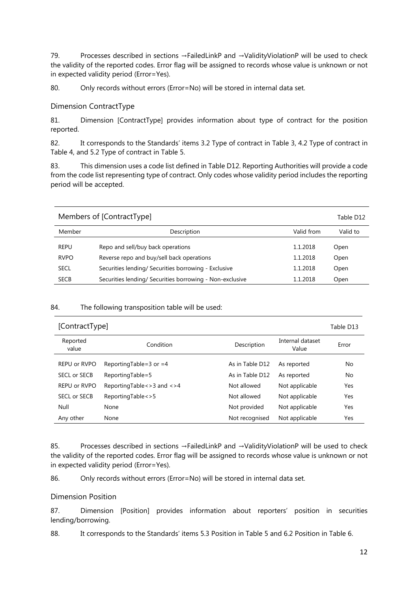79. Processes described in sections →FailedLinkP and →ValidityViolationP will be used to check the validity of the reported codes. Error flag will be assigned to records whose value is unknown or not in expected validity period (Error=Yes).

80. Only records without errors (Error=No) will be stored in internal data set.

## Dimension ContractType

81. Dimension [ContractType] provides information about type of contract for the position reported.

82. It corresponds to the Standards' items 3.2 Type of contract in Table 3, 4.2 Type of contract in Table 4, and 5.2 Type of contract in Table 5.

83. This dimension uses a code list defined in Table D12. Reporting Authorities will provide a code from the code list representing type of contract. Only codes whose validity period includes the reporting period will be accepted.

| Members of [ContractType] |                                                          |            |          |
|---------------------------|----------------------------------------------------------|------------|----------|
| Member                    | Description                                              | Valid from | Valid to |
| <b>REPU</b>               | Repo and sell/buy back operations                        | 1.1.2018   | Open     |
| <b>RVPO</b>               | Reverse repo and buy/sell back operations                | 1.1.2018   | Open     |
| <b>SECL</b>               | Securities lending/ Securities borrowing - Exclusive     | 1.1.2018   | Open     |
| <b>SECB</b>               | Securities lending/ Securities borrowing - Non-exclusive | 1.1.2018   | Open     |

#### 84. The following transposition table will be used:

| [ContractType]<br>Table D13 |                                     |                 |                           |       |
|-----------------------------|-------------------------------------|-----------------|---------------------------|-------|
| Reported<br>value           | Condition                           | Description     | Internal dataset<br>Value | Error |
| REPU or RVPO                | Reporting Table = $3$ or = 4        | As in Table D12 | As reported               | No    |
| <b>SECL or SECB</b>         | ReportingTable=5                    | As in Table D12 | As reported               | No    |
| REPU or RVPO                | Reporting Table < $>$ 3 and < $>$ 4 | Not allowed     | Not applicable            | Yes   |
| SECL or SECB                | ReportingTable < > 5                | Not allowed     | Not applicable            | Yes   |
| Null                        | None                                | Not provided    | Not applicable            | Yes   |
| Any other                   | None                                | Not recognised  | Not applicable            | Yes   |

85. Processes described in sections →FailedLinkP and →ValidityViolationP will be used to check the validity of the reported codes. Error flag will be assigned to records whose value is unknown or not in expected validity period (Error=Yes).

86. Only records without errors (Error=No) will be stored in internal data set.

## Dimension Position

87. Dimension [Position] provides information about reporters' position in securities lending/borrowing.

88. It corresponds to the Standards' items 5.3 Position in Table 5 and 6.2 Position in Table 6.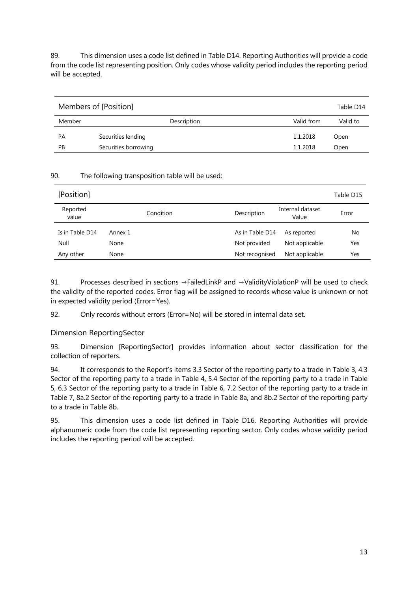89. This dimension uses a code list defined in Table D14. Reporting Authorities will provide a code from the code list representing position. Only codes whose validity period includes the reporting period will be accepted.

| Members of [Position]<br>Table D14 |                      |            |          |
|------------------------------------|----------------------|------------|----------|
| Member                             | Description          | Valid from | Valid to |
| PА                                 | Securities lending   | 1.1.2018   | Open     |
| РB                                 | Securities borrowing | 1.1.2018   | Open     |

## 90. The following transposition table will be used:

| [Position]        |           | Table D15                                         |  |
|-------------------|-----------|---------------------------------------------------|--|
| Reported<br>value | Condition | Internal dataset<br>Description<br>Error<br>Value |  |
| Is in Table D14   | Annex 1   | As in Table D14<br>As reported<br>No              |  |
| Null              | None      | Not applicable<br>Not provided<br>Yes             |  |
| Any other         | None      | Not applicable<br>Not recognised<br>Yes           |  |

91. Processes described in sections →FailedLinkP and →ValidityViolationP will be used to check the validity of the reported codes. Error flag will be assigned to records whose value is unknown or not in expected validity period (Error=Yes).

92. Only records without errors (Error=No) will be stored in internal data set.

Dimension ReportingSector

93. Dimension [ReportingSector] provides information about sector classification for the collection of reporters.

94. It corresponds to the Report's items 3.3 Sector of the reporting party to a trade in Table 3, 4.3 Sector of the reporting party to a trade in Table 4, 5.4 Sector of the reporting party to a trade in Table 5, 6.3 Sector of the reporting party to a trade in Table 6, 7.2 Sector of the reporting party to a trade in Table 7, 8a.2 Sector of the reporting party to a trade in Table 8a, and 8b.2 Sector of the reporting party to a trade in Table 8b.

95. This dimension uses a code list defined in Table D16. Reporting Authorities will provide alphanumeric code from the code list representing reporting sector. Only codes whose validity period includes the reporting period will be accepted.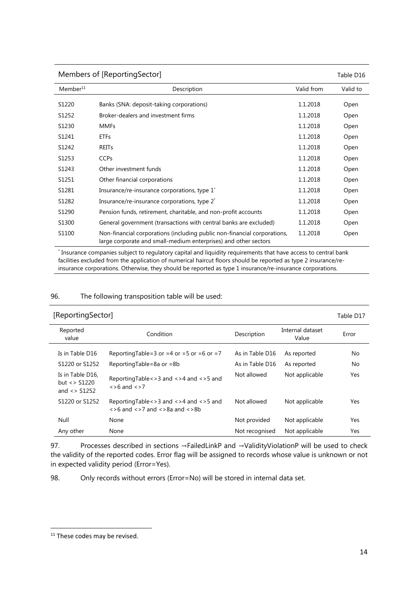| Members of [ReportingSector]<br>Table D16 |                                                                                                                                             |            |          |
|-------------------------------------------|---------------------------------------------------------------------------------------------------------------------------------------------|------------|----------|
| Member <sup>11</sup>                      | Description                                                                                                                                 | Valid from | Valid to |
| S1220                                     | Banks (SNA: deposit-taking corporations)                                                                                                    | 1.1.2018   | Open     |
| S1252                                     | Broker-dealers and investment firms                                                                                                         | 1.1.2018   | Open     |
| S1230                                     | <b>MMFs</b>                                                                                                                                 | 1.1.2018   | Open     |
| S1241                                     | <b>ETFs</b>                                                                                                                                 | 1.1.2018   | Open     |
| S1242                                     | <b>REITs</b>                                                                                                                                | 1.1.2018   | Open     |
| S1253                                     | <b>CCP<sub>S</sub></b>                                                                                                                      | 1.1.2018   | Open     |
| S1243                                     | Other investment funds                                                                                                                      | 1.1.2018   | Open     |
| S1251                                     | Other financial corporations                                                                                                                | 1.1.2018   | Open     |
| S1281                                     | Insurance/re-insurance corporations, type 1 <sup>*</sup>                                                                                    | 1.1.2018   | Open     |
| S1282                                     | Insurance/re-insurance corporations, type 2*                                                                                                | 1.1.2018   | Open     |
| S1290                                     | Pension funds, retirement, charitable, and non-profit accounts                                                                              | 1.1.2018   | Open     |
| S1300                                     | General government (transactions with central banks are excluded)                                                                           | 1.1.2018   | Open     |
| S1100                                     | Non-financial corporations (including public non-financial corporations,<br>large corporate and small-medium enterprises) and other sectors | 1.1.2018   | Open     |

\* Insurance companies subject to regulatory capital and liquidity requirements that have access to central bank facilities excluded from the application of numerical haircut floors should be reported as type 2 insurance/reinsurance corporations. Otherwise, they should be reported as type 1 insurance/re-insurance corporations.

#### 96. The following transposition table will be used:

| [ReportingSector]                                            |                                                                                                                   |                 |                           | Table D17 |
|--------------------------------------------------------------|-------------------------------------------------------------------------------------------------------------------|-----------------|---------------------------|-----------|
| Reported<br>value                                            | Condition                                                                                                         | Description     | Internal dataset<br>Value | Error     |
| Is in Table D16                                              | Reporting Table = 3 or = 4 or = 5 or = 6 or = 7                                                                   | As in Table D16 | As reported               | No.       |
| S1220 or S1252                                               | ReportingTable=8a or =8b                                                                                          | As in Table D16 | As reported               | No        |
| Is in Table D16,<br>but $\langle$ > S1220<br>and $\le$ S1252 | ReportingTable < > 3 and < > 4 and < > 5 and<br>$\langle$ >6 and $\langle$ >7                                     | Not allowed     | Not applicable            | Yes       |
| S1220 or S1252                                               | ReportingTable < > 3 and < > 4 and < > 5 and<br>$\langle$ >6 and $\langle$ >7 and $\langle$ >8a and $\langle$ >8b | Not allowed     | Not applicable            | Yes       |
| Null                                                         | None                                                                                                              | Not provided    | Not applicable            | Yes       |
| Any other                                                    | None                                                                                                              | Not recognised  | Not applicable            | Yes       |

97. Processes described in sections →FailedLinkP and →ValidityViolationP will be used to check the validity of the reported codes. Error flag will be assigned to records whose value is unknown or not in expected validity period (Error=Yes).

98. Only records without errors (Error=No) will be stored in internal data set.

 $\overline{\phantom{a}}$ 

<sup>&</sup>lt;sup>11</sup> These codes may be revised.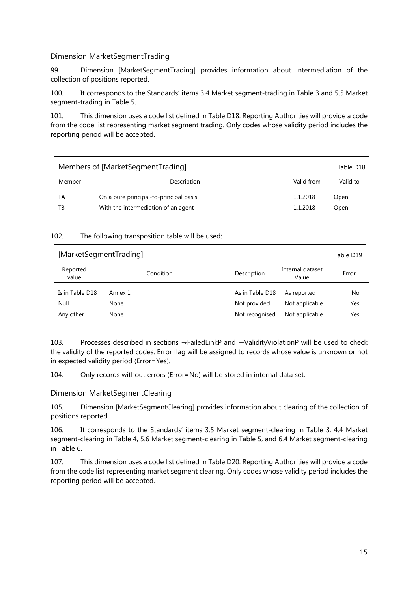## Dimension MarketSegmentTrading

99. Dimension [MarketSegmentTrading] provides information about intermediation of the collection of positions reported.

100. It corresponds to the Standards' items 3.4 Market segment-trading in Table 3 and 5.5 Market segment-trading in Table 5.

101. This dimension uses a code list defined in Table D18. Reporting Authorities will provide a code from the code list representing market segment trading. Only codes whose validity period includes the reporting period will be accepted.

| Members of [MarketSegmentTrading]<br>Table D18 |                                        |            |          |
|------------------------------------------------|----------------------------------------|------------|----------|
| Member                                         | Description                            | Valid from | Valid to |
| TА                                             | On a pure principal-to-principal basis | 1.1.2018   | Open     |
| ΤВ                                             | With the intermediation of an agent    | 1.1.2018   | Open     |

#### 102. The following transposition table will be used:

| [MarketSegmentTrading] |           |                 |                           | Table D19 |
|------------------------|-----------|-----------------|---------------------------|-----------|
| Reported<br>value      | Condition | Description     | Internal dataset<br>Value | Error     |
| Is in Table D18        | Annex 1   | As in Table D18 | As reported               | No        |
| Null                   | None      | Not provided    | Not applicable            | Yes       |
| Any other              | None      | Not recognised  | Not applicable            | Yes       |

103. Processes described in sections →FailedLinkP and →ValidityViolationP will be used to check the validity of the reported codes. Error flag will be assigned to records whose value is unknown or not in expected validity period (Error=Yes).

104. Only records without errors (Error=No) will be stored in internal data set.

## Dimension MarketSegmentClearing

105. Dimension [MarketSegmentClearing] provides information about clearing of the collection of positions reported.

106. It corresponds to the Standards' items 3.5 Market segment-clearing in Table 3, 4.4 Market segment-clearing in Table 4, 5.6 Market segment-clearing in Table 5, and 6.4 Market segment-clearing in Table 6.

107. This dimension uses a code list defined in Table D20. Reporting Authorities will provide a code from the code list representing market segment clearing. Only codes whose validity period includes the reporting period will be accepted.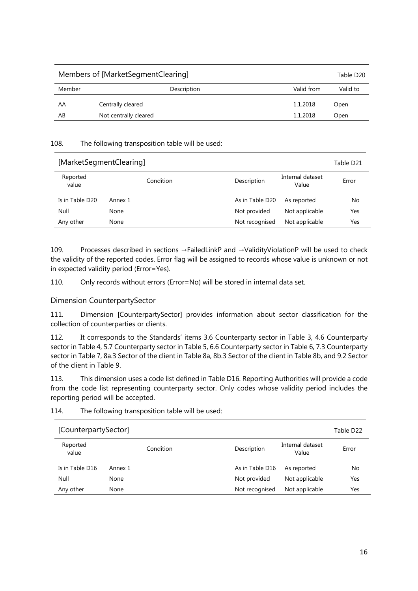| Members of [MarketSegmentClearing]<br>Table D20 |                       |            |          |
|-------------------------------------------------|-----------------------|------------|----------|
| Member                                          | Description           | Valid from | Valid to |
| AA                                              | Centrally cleared     | 1.1.2018   | Open     |
| AB                                              | Not centrally cleared | 1.1.2018   | Open     |

| [MarketSegmentClearing] |           |                                          | Table D21 |
|-------------------------|-----------|------------------------------------------|-----------|
| Reported<br>value       | Condition | Internal dataset<br>Description<br>Value | Error     |
| Is in Table D20         | Annex 1   | As in Table D20<br>As reported           | No        |
| Null                    | None      | Not provided<br>Not applicable           | Yes       |
| Any other               | None      | Not applicable<br>Not recognised         | Yes       |

109. Processes described in sections →FailedLinkP and →ValidityViolationP will be used to check the validity of the reported codes. Error flag will be assigned to records whose value is unknown or not in expected validity period (Error=Yes).

110. Only records without errors (Error=No) will be stored in internal data set.

## Dimension CounterpartySector

111. Dimension [CounterpartySector] provides information about sector classification for the collection of counterparties or clients.

112. It corresponds to the Standards' items 3.6 Counterparty sector in Table 3, 4.6 Counterparty sector in Table 4, 5.7 Counterparty sector in Table 5, 6.6 Counterparty sector in Table 6, 7.3 Counterparty sector in Table 7, 8a.3 Sector of the client in Table 8a, 8b.3 Sector of the client in Table 8b, and 9.2 Sector of the client in Table 9.

113. This dimension uses a code list defined in Table D16. Reporting Authorities will provide a code from the code list representing counterparty sector. Only codes whose validity period includes the reporting period will be accepted.

| 114. | The following transposition table will be used: |  |
|------|-------------------------------------------------|--|
|      |                                                 |  |

| [CounterpartySector] |           |  |                 |                           | Table D22 |
|----------------------|-----------|--|-----------------|---------------------------|-----------|
| Reported<br>value    | Condition |  | Description     | Internal dataset<br>Value | Error     |
| Is in Table D16      | Annex 1   |  | As in Table D16 | As reported               | No        |
| Null                 | None      |  | Not provided    | Not applicable            | Yes       |
| Any other            | None      |  | Not recognised  | Not applicable            | Yes       |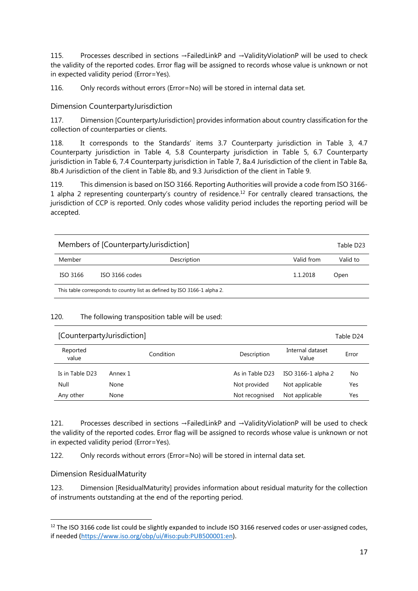115. Processes described in sections →FailedLinkP and →ValidityViolationP will be used to check the validity of the reported codes. Error flag will be assigned to records whose value is unknown or not in expected validity period (Error=Yes).

116. Only records without errors (Error=No) will be stored in internal data set.

Dimension CounterpartyJurisdiction

117. Dimension [CounterpartyJurisdiction] provides information about country classification for the collection of counterparties or clients.

118. It corresponds to the Standards' items 3.7 Counterparty jurisdiction in Table 3, 4.7 Counterparty jurisdiction in Table 4, 5.8 Counterparty jurisdiction in Table 5, 6.7 Counterparty jurisdiction in Table 6, 7.4 Counterparty jurisdiction in Table 7, 8a.4 Jurisdiction of the client in Table 8a, 8b.4 Jurisdiction of the client in Table 8b, and 9.3 Jurisdiction of the client in Table 9.

119. This dimension is based on ISO 3166. Reporting Authorities will provide a code from ISO 3166- 1 alpha 2 representing counterparty's country of residence.<sup>12</sup> For centrally cleared transactions, the jurisdiction of CCP is reported. Only codes whose validity period includes the reporting period will be accepted.

| Members of [CounterpartyJurisdiction]                                    |                | Table D23  |          |
|--------------------------------------------------------------------------|----------------|------------|----------|
| Member                                                                   | Description    | Valid from | Valid to |
| ISO 3166                                                                 | ISO 3166 codes | 1.1.2018   | Open     |
| This table corresponds to country list as defined by ISO 3166-1 alpha 2. |                |            |          |

## 120. The following transposition table will be used:

| [CounterpartyJurisdiction] |           |                 |                           | Table D24 |
|----------------------------|-----------|-----------------|---------------------------|-----------|
| Reported<br>value          | Condition | Description     | Internal dataset<br>Value | Error     |
| Is in Table D23            | Annex 1   | As in Table D23 | ISO 3166-1 alpha 2        | No        |
| Null                       | None      | Not provided    | Not applicable            | Yes       |
| Any other                  | None      | Not recognised  | Not applicable            | Yes       |

121. Processes described in sections →FailedLinkP and →ValidityViolationP will be used to check the validity of the reported codes. Error flag will be assigned to records whose value is unknown or not in expected validity period (Error=Yes).

122. Only records without errors (Error=No) will be stored in internal data set.

Dimension ResidualMaturity

 $\overline{\phantom{a}}$ 

123. Dimension [ResidualMaturity] provides information about residual maturity for the collection of instruments outstanding at the end of the reporting period.

<sup>&</sup>lt;sup>12</sup> The ISO 3166 code list could be slightly expanded to include ISO 3166 reserved codes or user-assigned codes, if needed (https://www.iso.org/obp/ui/#iso:pub:PUB500001:en).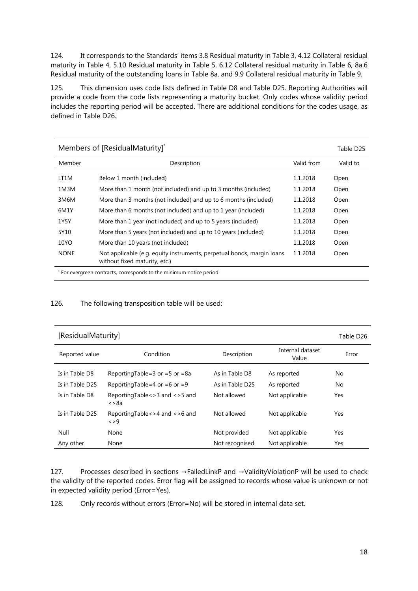124. It corresponds to the Standards' items 3.8 Residual maturity in Table 3, 4.12 Collateral residual maturity in Table 4, 5.10 Residual maturity in Table 5, 6.12 Collateral residual maturity in Table 6, 8a.6 Residual maturity of the outstanding loans in Table 8a, and 9.9 Collateral residual maturity in Table 9.

125. This dimension uses code lists defined in Table D8 and Table D25. Reporting Authorities will provide a code from the code lists representing a maturity bucket. Only codes whose validity period includes the reporting period will be accepted. There are additional conditions for the codes usage, as defined in Table D26.

| Members of [ResidualMaturity]* |                                                                                                         |            |          |
|--------------------------------|---------------------------------------------------------------------------------------------------------|------------|----------|
| Member                         | Description                                                                                             | Valid from | Valid to |
| LT1M                           | Below 1 month (included)                                                                                | 1.1.2018   | Open     |
| 1M3M                           | More than 1 month (not included) and up to 3 months (included)                                          | 1.1.2018   | Open     |
| 3M6M                           | More than 3 months (not included) and up to 6 months (included)                                         | 1.1.2018   | Open     |
| 6M1Y                           | More than 6 months (not included) and up to 1 year (included)                                           | 1.1.2018   | Open     |
| 1Y5Y                           | More than 1 year (not included) and up to 5 years (included)                                            | 1.1.2018   | Open     |
| 5Y10                           | More than 5 years (not included) and up to 10 years (included)                                          | 1.1.2018   | Open     |
| 10YO                           | More than 10 years (not included)                                                                       | 1.1.2018   | Open     |
| <b>NONE</b>                    | Not applicable (e.g. equity instruments, perpetual bonds, margin loans<br>without fixed maturity, etc.) | 1.1.2018   | Open     |
|                                | For evergreen contracts, corresponds to the minimum notice period.                                      |            |          |

#### 126. The following transposition table will be used:

| [ResidualMaturity]<br>Table D26 |                                                         |                 |                           |       |
|---------------------------------|---------------------------------------------------------|-----------------|---------------------------|-------|
| Reported value                  | Condition                                               | Description     | Internal dataset<br>Value | Error |
| Is in Table D8                  | Reporting Table = $3$ or = $5$ or = $8a$                | As in Table D8  | As reported               | No.   |
| Is in Table D25                 | ReportingTable=4 or =6 or =9                            | As in Table D25 | As reported               | No    |
| Is in Table D8                  | ReportingTable < > 3 and < > 5 and<br>$\langle >\!\!8a$ | Not allowed     | Not applicable            | Yes   |
| Is in Table D25                 | ReportingTable < > 4 and < > 6 and<br>$\langle > 9$     | Not allowed     | Not applicable            | Yes   |
| Null                            | None                                                    | Not provided    | Not applicable            | Yes   |
| Any other                       | None                                                    | Not recognised  | Not applicable            | Yes   |

127. Processes described in sections →FailedLinkP and →ValidityViolationP will be used to check the validity of the reported codes. Error flag will be assigned to records whose value is unknown or not in expected validity period (Error=Yes).

128. Only records without errors (Error=No) will be stored in internal data set.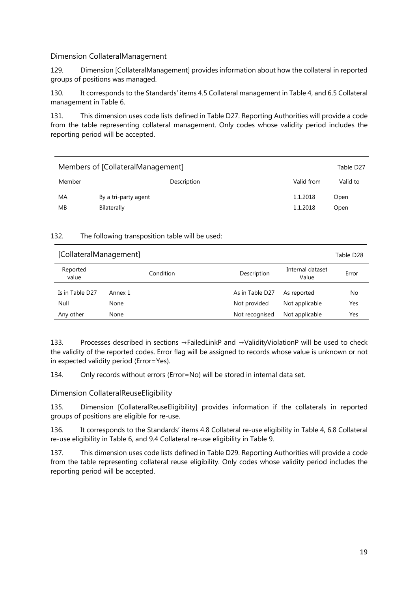## Dimension CollateralManagement

129. Dimension [CollateralManagement] provides information about how the collateral in reported groups of positions was managed.

130. It corresponds to the Standards' items 4.5 Collateral management in Table 4, and 6.5 Collateral management in Table 6.

131. This dimension uses code lists defined in Table D27. Reporting Authorities will provide a code from the table representing collateral management. Only codes whose validity period includes the reporting period will be accepted.

| Members of [CollateralManagement]<br>Table D27 |                      |            |          |
|------------------------------------------------|----------------------|------------|----------|
| Member                                         | Description          | Valid from | Valid to |
| MA                                             | By a tri-party agent | 1.1.2018   | Open     |
| MВ                                             | Bilaterally          | 1.1.2018   | Open     |

## 132. The following transposition table will be used:

| [CollateralManagement] |           |                 |                           | Table D28 |
|------------------------|-----------|-----------------|---------------------------|-----------|
| Reported<br>value      | Condition | Description     | Internal dataset<br>Value | Error     |
| Is in Table D27        | Annex 1   | As in Table D27 | As reported               | No        |
| Null                   | None      | Not provided    | Not applicable            | Yes       |
| Any other              | None      | Not recognised  | Not applicable            | Yes       |

133. Processes described in sections →FailedLinkP and →ValidityViolationP will be used to check the validity of the reported codes. Error flag will be assigned to records whose value is unknown or not in expected validity period (Error=Yes).

134. Only records without errors (Error=No) will be stored in internal data set.

Dimension CollateralReuseEligibility

135. Dimension [CollateralReuseEligibility] provides information if the collaterals in reported groups of positions are eligible for re-use.

136. It corresponds to the Standards' items 4.8 Collateral re-use eligibility in Table 4, 6.8 Collateral re-use eligibility in Table 6, and 9.4 Collateral re-use eligibility in Table 9.

137. This dimension uses code lists defined in Table D29. Reporting Authorities will provide a code from the table representing collateral reuse eligibility. Only codes whose validity period includes the reporting period will be accepted.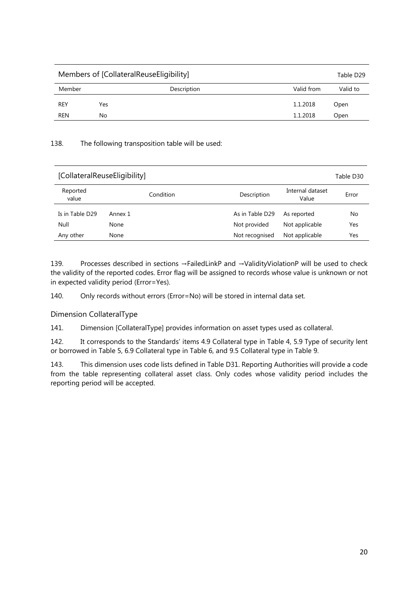| Members of [CollateralReuseEligibility] |     |             | Table D29  |          |
|-----------------------------------------|-----|-------------|------------|----------|
| Member                                  |     | Description | Valid from | Valid to |
| <b>REY</b>                              | Yes |             | 1.1.2018   | Open     |
| REN                                     | No  |             | 1.1.2018   | Open     |

| [CollateralReuseEligibility] |           |                 | Table D30                 |       |
|------------------------------|-----------|-----------------|---------------------------|-------|
| Reported<br>value            | Condition | Description     | Internal dataset<br>Value | Error |
| Is in Table D29              | Annex 1   | As in Table D29 | As reported               | No    |
| Null                         | None      | Not provided    | Not applicable            | Yes   |
| Any other                    | None      | Not recognised  | Not applicable            | Yes   |

139. Processes described in sections →FailedLinkP and →ValidityViolationP will be used to check the validity of the reported codes. Error flag will be assigned to records whose value is unknown or not in expected validity period (Error=Yes).

140. Only records without errors (Error=No) will be stored in internal data set.

## Dimension CollateralType

141. Dimension [CollateralType] provides information on asset types used as collateral.

142. It corresponds to the Standards' items 4.9 Collateral type in Table 4, 5.9 Type of security lent or borrowed in Table 5, 6.9 Collateral type in Table 6, and 9.5 Collateral type in Table 9.

143. This dimension uses code lists defined in Table D31. Reporting Authorities will provide a code from the table representing collateral asset class. Only codes whose validity period includes the reporting period will be accepted.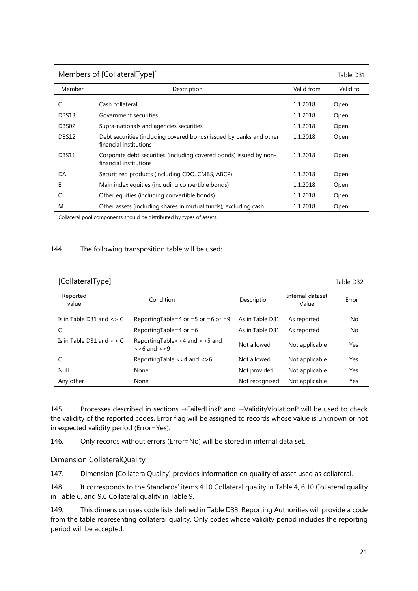| Members of [CollateralType] <sup>*</sup> |                                                                                               |            |          |  |
|------------------------------------------|-----------------------------------------------------------------------------------------------|------------|----------|--|
| Member                                   | Description                                                                                   | Valid from | Valid to |  |
| C                                        | Cash collateral                                                                               | 1.1.2018   | Open     |  |
| DBS13                                    | Government securities                                                                         | 1.1.2018   | Open     |  |
| DBS02                                    | Supra-nationals and agencies securities                                                       | 1.1.2018   | Open     |  |
| DBS12                                    | Debt securities (including covered bonds) issued by banks and other<br>financial institutions | 1.1.2018   | Open     |  |
| DBS11                                    | Corporate debt securities (including covered bonds) issued by non-<br>financial institutions  | 1.1.2018   | Open     |  |
| DA                                       | Securitized products (including CDO, CMBS, ABCP)                                              | 1.1.2018   | Open     |  |
| Е                                        | Main index equities (including convertible bonds)                                             | 1.1.2018   | Open     |  |
| O                                        | Other equities (including convertible bonds)                                                  | 1.1.2018   | Open     |  |
| M                                        | Other assets (including shares in mutual funds), excluding cash                               | 1.1.2018   | Open     |  |
|                                          | Collateral pool components should be distributed by types of assets.                          |            |          |  |

| [CollateralType]              |                                                                |                 |                           | Table D32 |
|-------------------------------|----------------------------------------------------------------|-----------------|---------------------------|-----------|
| Reported<br>value             | Condition                                                      | Description     | Internal dataset<br>Value | Error     |
| Is in Table D31 and $\lt$ > C | Reporting Table = 4 or = 5 or = 6 or = 9                       | As in Table D31 | As reported               | No        |
| C                             | Reporting Table = 4 or = 6                                     | As in Table D31 | As reported               | No        |
| Is in Table D31 and $\lt$ > C | ReportingTable<>4 and <>5 and<br>$\langle$ >6 and $\langle$ >9 | Not allowed     | Not applicable            | Yes       |
|                               | Reporting Table $\langle 24 \rangle$ and $\langle 26 \rangle$  | Not allowed     | Not applicable            | Yes       |
| Null                          | None                                                           | Not provided    | Not applicable            | Yes       |
| Any other                     | None                                                           | Not recognised  | Not applicable            | Yes       |

145. Processes described in sections →FailedLinkP and →ValidityViolationP will be used to check the validity of the reported codes. Error flag will be assigned to records whose value is unknown or not in expected validity period (Error=Yes).

146. Only records without errors (Error=No) will be stored in internal data set.

Dimension CollateralQuality

147. Dimension [CollateralQuality] provides information on quality of asset used as collateral.

148. It corresponds to the Standards' items 4.10 Collateral quality in Table 4, 6.10 Collateral quality in Table 6, and 9.6 Collateral quality in Table 9.

149. This dimension uses code lists defined in Table D33. Reporting Authorities will provide a code from the table representing collateral quality. Only codes whose validity period includes the reporting period will be accepted.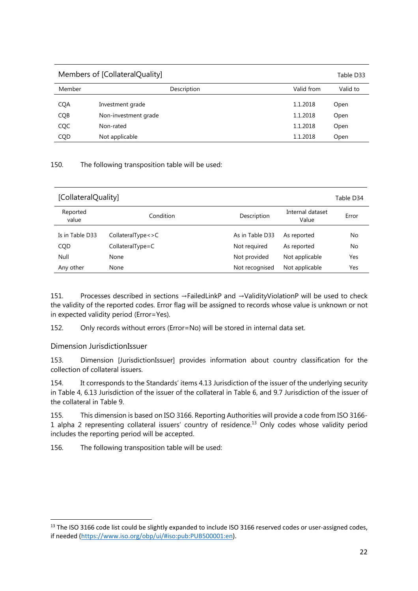| Members of [CollateralQuality] |                      | Table D33  |          |
|--------------------------------|----------------------|------------|----------|
| Member                         | Description          | Valid from | Valid to |
| <b>CQA</b>                     | Investment grade     | 1.1.2018   | Open     |
| CQB                            | Non-investment grade | 1.1.2018   | Open     |
| CQC                            | Non-rated            | 1.1.2018   | Open     |
| CQD                            | Not applicable       | 1.1.2018   | Open     |

| [CollateralQuality] |                     |                 |                           | Table D34 |
|---------------------|---------------------|-----------------|---------------------------|-----------|
| Reported<br>value   | Condition           | Description     | Internal dataset<br>Value | Error     |
| Is in Table D33     | CollateralType < >C | As in Table D33 | As reported               | No        |
| CQD                 | $CollateralType=C$  | Not required    | As reported               | No        |
| Null                | None                | Not provided    | Not applicable            | Yes       |
| Any other           | None                | Not recognised  | Not applicable            | Yes       |

151. Processes described in sections →FailedLinkP and →ValidityViolationP will be used to check the validity of the reported codes. Error flag will be assigned to records whose value is unknown or not in expected validity period (Error=Yes).

152. Only records without errors (Error=No) will be stored in internal data set.

Dimension JurisdictionIssuer

 $\overline{\phantom{a}}$ 

153. Dimension [JurisdictionIssuer] provides information about country classification for the collection of collateral issuers.

154. It corresponds to the Standards' items 4.13 Jurisdiction of the issuer of the underlying security in Table 4, 6.13 Jurisdiction of the issuer of the collateral in Table 6, and 9.7 Jurisdiction of the issuer of the collateral in Table 9.

155. This dimension is based on ISO 3166. Reporting Authorities will provide a code from ISO 3166- 1 alpha 2 representing collateral issuers' country of residence.13 Only codes whose validity period includes the reporting period will be accepted.

156. The following transposition table will be used:

<sup>&</sup>lt;sup>13</sup> The ISO 3166 code list could be slightly expanded to include ISO 3166 reserved codes or user-assigned codes, if needed (https://www.iso.org/obp/ui/#iso:pub:PUB500001:en).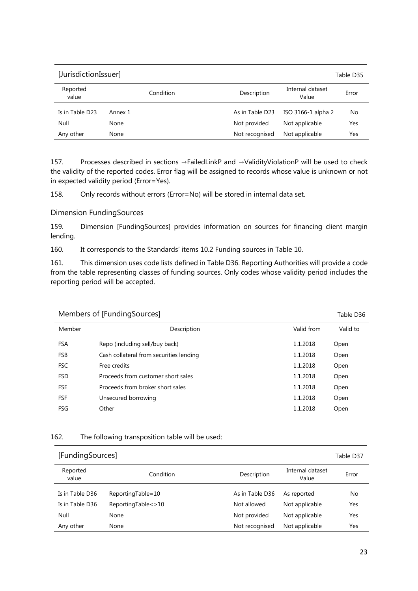| [JurisdictionIssuer] |           |                                          | Table D35 |
|----------------------|-----------|------------------------------------------|-----------|
| Reported<br>value    | Condition | Internal dataset<br>Description<br>Value | Error     |
| Is in Table D23      | Annex 1   | As in Table D23<br>ISO 3166-1 alpha 2    | No        |
| Null                 | None      | Not provided<br>Not applicable           | Yes       |
| Any other            | None      | Not applicable<br>Not recognised         | Yes       |

157. Processes described in sections →FailedLinkP and →ValidityViolationP will be used to check the validity of the reported codes. Error flag will be assigned to records whose value is unknown or not in expected validity period (Error=Yes).

158. Only records without errors (Error=No) will be stored in internal data set.

Dimension FundingSources

159. Dimension [FundingSources] provides information on sources for financing client margin lending.

160. It corresponds to the Standards' items 10.2 Funding sources in Table 10.

161. This dimension uses code lists defined in Table D36. Reporting Authorities will provide a code from the table representing classes of funding sources. Only codes whose validity period includes the reporting period will be accepted.

| Members of [FundingSources] |                                         |            | Table D36 |
|-----------------------------|-----------------------------------------|------------|-----------|
| Member                      | Description                             | Valid from | Valid to  |
| <b>FSA</b>                  | Repo (including sell/buy back)          | 1.1.2018   | Open      |
| <b>FSB</b>                  | Cash collateral from securities lending | 1.1.2018   | Open      |
| <b>FSC</b>                  | Free credits                            | 1.1.2018   | Open      |
| <b>FSD</b>                  | Proceeds from customer short sales      | 1.1.2018   | Open      |
| <b>FSE</b>                  | Proceeds from broker short sales        | 1.1.2018   | Open      |
| <b>FSF</b>                  | Unsecured borrowing                     | 1.1.2018   | Open      |
| FSG                         | Other                                   | 1.1.2018   | Open      |

## 162. The following transposition table will be used:

| [FundingSources]  |                       |                 |                           | Table D37 |
|-------------------|-----------------------|-----------------|---------------------------|-----------|
| Reported<br>value | Condition             | Description     | Internal dataset<br>Value | Error     |
| Is in Table D36   | ReportingTable=10     | As in Table D36 | As reported               | No        |
| Is in Table D36   | ReportingTable < > 10 | Not allowed     | Not applicable            | Yes       |
| Null              | None                  | Not provided    | Not applicable            | Yes       |
| Any other         | None                  | Not recognised  | Not applicable            | Yes       |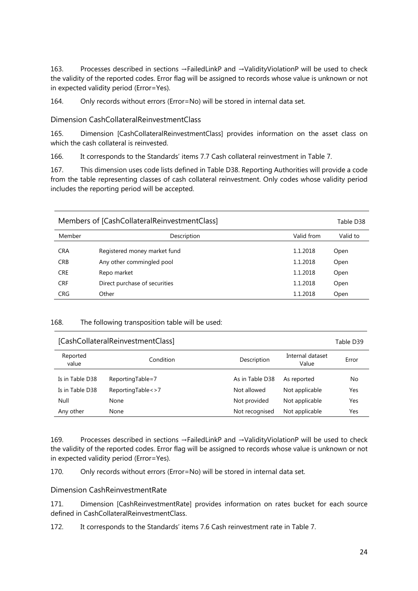163. Processes described in sections →FailedLinkP and →ValidityViolationP will be used to check the validity of the reported codes. Error flag will be assigned to records whose value is unknown or not in expected validity period (Error=Yes).

164. Only records without errors (Error=No) will be stored in internal data set.

Dimension CashCollateralReinvestmentClass

165. Dimension [CashCollateralReinvestmentClass] provides information on the asset class on which the cash collateral is reinvested.

166. It corresponds to the Standards' items 7.7 Cash collateral reinvestment in Table 7.

167. This dimension uses code lists defined in Table D38. Reporting Authorities will provide a code from the table representing classes of cash collateral reinvestment. Only codes whose validity period includes the reporting period will be accepted.

| Members of [CashCollateralReinvestmentClass] |                               |            | Table D38 |
|----------------------------------------------|-------------------------------|------------|-----------|
| Member                                       | Description                   | Valid from | Valid to  |
| <b>CRA</b>                                   | Registered money market fund  | 1.1.2018   | Open      |
| <b>CRB</b>                                   | Any other commingled pool     | 1.1.2018   | Open      |
| <b>CRE</b>                                   | Repo market                   | 1.1.2018   | Open      |
| <b>CRF</b>                                   | Direct purchase of securities | 1.1.2018   | Open      |
| <b>CRG</b>                                   | Other                         | 1.1.2018   | Open      |

#### 168. The following transposition table will be used:

|                   | [CashCollateralReinvestmentClass] |                 |                           | Table D39 |
|-------------------|-----------------------------------|-----------------|---------------------------|-----------|
| Reported<br>value | Condition                         | Description     | Internal dataset<br>Value | Error     |
| Is in Table D38   | ReportingTable=7                  | As in Table D38 | As reported               | No        |
| Is in Table D38   | ReportingTable < > 7              | Not allowed     | Not applicable            | Yes       |
| Null              | None                              | Not provided    | Not applicable            | Yes       |
| Any other         | None                              | Not recognised  | Not applicable            | Yes       |

169. Processes described in sections →FailedLinkP and →ValidityViolationP will be used to check the validity of the reported codes. Error flag will be assigned to records whose value is unknown or not in expected validity period (Error=Yes).

170. Only records without errors (Error=No) will be stored in internal data set.

Dimension CashReinvestmentRate

171. Dimension [CashReinvestmentRate] provides information on rates bucket for each source defined in CashCollateralReinvestmentClass.

172. It corresponds to the Standards' items 7.6 Cash reinvestment rate in Table 7.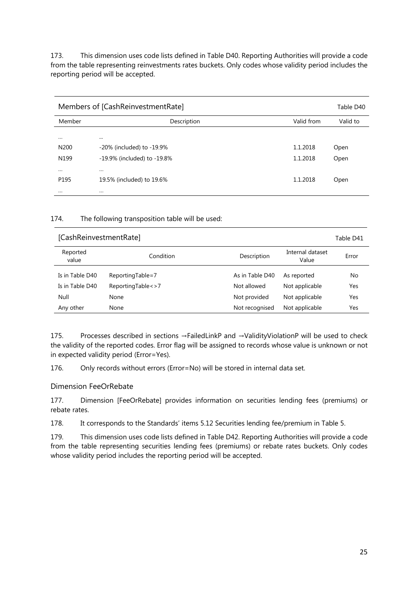173. This dimension uses code lists defined in Table D40. Reporting Authorities will provide a code from the table representing reinvestments rates buckets. Only codes whose validity period includes the reporting period will be accepted.

| Members of [CashReinvestmentRate] |                             | Table D40  |          |
|-----------------------------------|-----------------------------|------------|----------|
| Member                            | Description                 | Valid from | Valid to |
| $\cdots$                          | $\cdots$                    |            |          |
| N <sub>200</sub>                  | -20% (included) to -19.9%   | 1.1.2018   | Open     |
| N <sub>199</sub>                  | -19.9% (included) to -19.8% | 1.1.2018   | Open     |
|                                   | $\cdots$                    |            |          |
| P <sub>195</sub>                  | 19.5% (included) to 19.6%   | 1.1.2018   | Open     |
|                                   | $\cdots$                    |            |          |

#### 174. The following transposition table will be used:

| [CashReinvestmentRate] |                      |                 |                           | Table D41 |
|------------------------|----------------------|-----------------|---------------------------|-----------|
| Reported<br>value      | Condition            | Description     | Internal dataset<br>Value | Error     |
| Is in Table D40        | ReportingTable=7     | As in Table D40 | As reported               | No        |
| Is in Table D40        | ReportingTable < > 7 | Not allowed     | Not applicable            | Yes       |
| Null                   | None                 | Not provided    | Not applicable            | Yes       |
| Any other              | None                 | Not recognised  | Not applicable            | Yes       |

175. Processes described in sections →FailedLinkP and →ValidityViolationP will be used to check the validity of the reported codes. Error flag will be assigned to records whose value is unknown or not in expected validity period (Error=Yes).

176. Only records without errors (Error=No) will be stored in internal data set.

## Dimension FeeOrRebate

177. Dimension [FeeOrRebate] provides information on securities lending fees (premiums) or rebate rates.

178. It corresponds to the Standards' items 5.12 Securities lending fee/premium in Table 5.

179. This dimension uses code lists defined in Table D42. Reporting Authorities will provide a code from the table representing securities lending fees (premiums) or rebate rates buckets. Only codes whose validity period includes the reporting period will be accepted.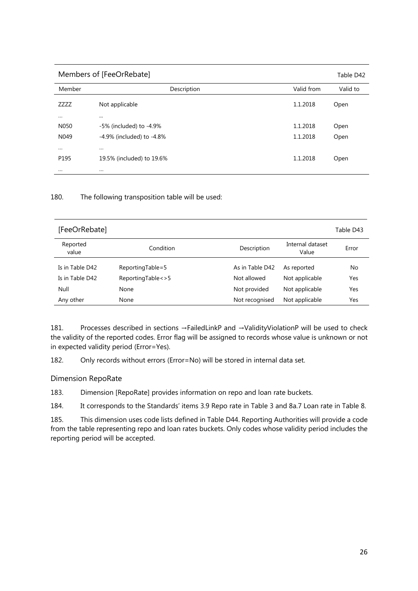| Members of [FeeOrRebate] |                                 |            | Table D42 |
|--------------------------|---------------------------------|------------|-----------|
| Member                   | Description                     | Valid from | Valid to  |
| ZZZZ                     | Not applicable                  | 1.1.2018   | Open      |
| $\cdots$                 | $\cdots$                        |            |           |
| N050                     | -5% (included) to -4.9%         | 1.1.2018   | Open      |
| N049                     | $-4.9\%$ (included) to $-4.8\%$ | 1.1.2018   | Open      |
| $\cdots$                 | $\cdots$                        |            |           |
| P195                     | 19.5% (included) to 19.6%       | 1.1.2018   | Open      |
| $\cdots$                 | $\cdots$                        |            |           |

| [FeeOrRebate]     |                      |                 |                           | Table D43 |
|-------------------|----------------------|-----------------|---------------------------|-----------|
| Reported<br>value | Condition            | Description     | Internal dataset<br>Value | Error     |
| Is in Table D42   | ReportingTable=5     | As in Table D42 | As reported               | No        |
| Is in Table D42   | ReportingTable < > 5 | Not allowed     | Not applicable            | Yes       |
| Null              | None                 | Not provided    | Not applicable            | Yes       |
| Any other         | None                 | Not recognised  | Not applicable            | Yes       |

181. Processes described in sections →FailedLinkP and →ValidityViolationP will be used to check the validity of the reported codes. Error flag will be assigned to records whose value is unknown or not in expected validity period (Error=Yes).

182. Only records without errors (Error=No) will be stored in internal data set.

## Dimension RepoRate

183. Dimension [RepoRate] provides information on repo and loan rate buckets.

184. It corresponds to the Standards' items 3.9 Repo rate in Table 3 and 8a.7 Loan rate in Table 8.

185. This dimension uses code lists defined in Table D44. Reporting Authorities will provide a code from the table representing repo and loan rates buckets. Only codes whose validity period includes the reporting period will be accepted.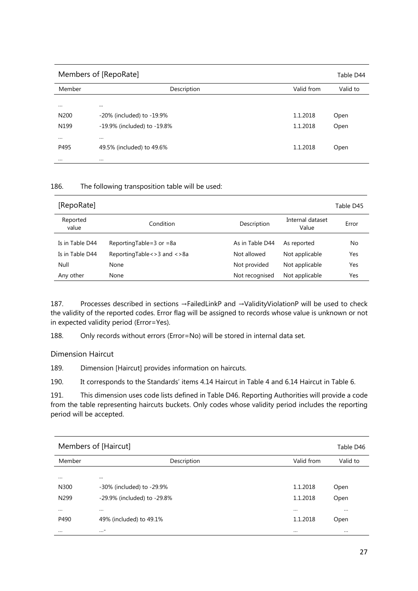| Members of [RepoRate] |                             |            | Table D44 |
|-----------------------|-----------------------------|------------|-----------|
| Member                | Description                 | Valid from | Valid to  |
| $\cdots$              | $\cdots$                    |            |           |
| N <sub>200</sub>      | -20% (included) to -19.9%   | 1.1.2018   | Open      |
| N <sub>199</sub>      | -19.9% (included) to -19.8% | 1.1.2018   | Open      |
| $\cdots$              | $\cdots$                    |            |           |
| P495                  | 49.5% (included) to 49.6%   | 1.1.2018   | Open      |
| $\cdots$              | $\cdots$                    |            |           |

| [RepoRate]        |                                 |                 |                           | Table D45 |
|-------------------|---------------------------------|-----------------|---------------------------|-----------|
| Reported<br>value | Condition                       | Description     | Internal dataset<br>Value | Error     |
| Is in Table D44   | Reporting Table = $3$ or = $8a$ | As in Table D44 | As reported               | No        |
| Is in Table D44   | ReportingTable <> 3 and <> 8a   | Not allowed     | Not applicable            | Yes       |
| Null              | None                            | Not provided    | Not applicable            | Yes       |
| Any other         | None                            | Not recognised  | Not applicable            | Yes       |

187. Processes described in sections →FailedLinkP and →ValidityViolationP will be used to check the validity of the reported codes. Error flag will be assigned to records whose value is unknown or not in expected validity period (Error=Yes).

188. Only records without errors (Error=No) will be stored in internal data set.

Dimension Haircut

189. Dimension [Haircut] provides information on haircuts.

190. It corresponds to the Standards' items 4.14 Haircut in Table 4 and 6.14 Haircut in Table 6.

191. This dimension uses code lists defined in Table D46. Reporting Authorities will provide a code from the table representing haircuts buckets. Only codes whose validity period includes the reporting period will be accepted.

|                  | Members of [Haircut]        |            | Table D46 |
|------------------|-----------------------------|------------|-----------|
| Member           | Description                 | Valid from | Valid to  |
|                  |                             |            |           |
| $\cdots$         | $\cdots$                    |            |           |
| N300             | -30% (included) to -29.9%   | 1.1.2018   | Open      |
| N <sub>299</sub> | -29.9% (included) to -29.8% | 1.1.2018   | Open      |
| $\cdots$         | $\cdots$                    | $\cdots$   | $\cdots$  |
| P490             | 49% (included) to 49.1%     | 1.1.2018   | Open      |
| $\cdots$         | $\cdots$ -                  | $\cdots$   | $\cdots$  |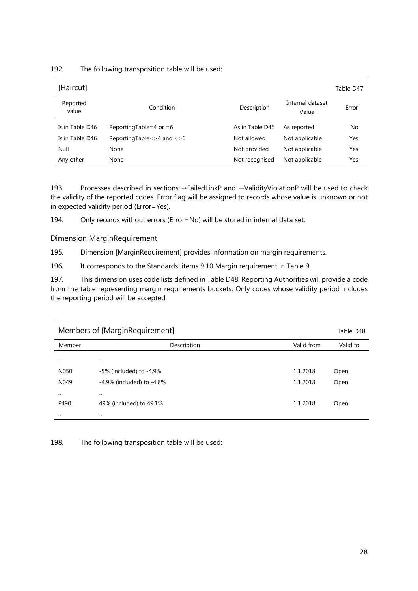| [Haircut]         |                              |                 |                           | Table D47 |
|-------------------|------------------------------|-----------------|---------------------------|-----------|
| Reported<br>value | Condition                    | Description     | Internal dataset<br>Value | Error     |
| Is in Table D46   | Reporting Table = 4 or = 6   | As in Table D46 | As reported               | No        |
| Is in Table D46   | ReportingTable <> 4 and <> 6 | Not allowed     | Not applicable            | Yes       |
| Null              | None                         | Not provided    | Not applicable            | Yes       |
| Any other         | None                         | Not recognised  | Not applicable            | Yes       |

193. Processes described in sections →FailedLinkP and →ValidityViolationP will be used to check the validity of the reported codes. Error flag will be assigned to records whose value is unknown or not in expected validity period (Error=Yes).

194. Only records without errors (Error=No) will be stored in internal data set.

Dimension MarginRequirement

195. Dimension [MarginRequirement] provides information on margin requirements.

196. It corresponds to the Standards' items 9.10 Margin requirement in Table 9.

197. This dimension uses code lists defined in Table D48. Reporting Authorities will provide a code from the table representing margin requirements buckets. Only codes whose validity period includes the reporting period will be accepted.

|          | Members of [MarginRequirement]  |            | Table D48 |
|----------|---------------------------------|------------|-----------|
| Member   | Description                     | Valid from | Valid to  |
| $\cdots$ | $\cdots$                        |            |           |
| N050     | -5% (included) to -4.9%         | 1.1.2018   | Open      |
| N049     | $-4.9\%$ (included) to $-4.8\%$ | 1.1.2018   | Open      |
| $\cdots$ | $\cdots$                        |            |           |
| P490     | 49% (included) to 49.1%         | 1.1.2018   | Open      |
| $\cdots$ | $\cdots$                        |            |           |

198. The following transposition table will be used: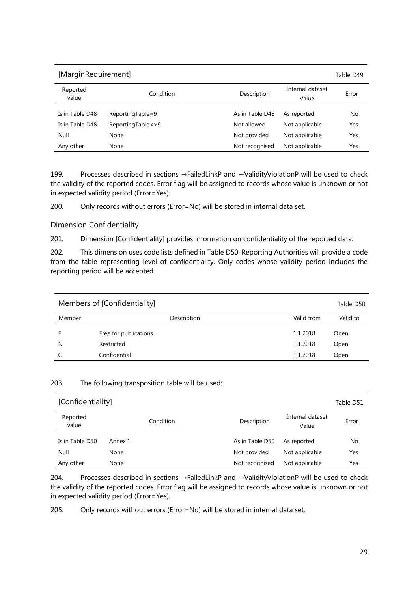| [MarginRequirement] |                   |                 |                           | Table D49 |
|---------------------|-------------------|-----------------|---------------------------|-----------|
| Reported<br>value   | Condition         | Description     | Internal dataset<br>Value | Error     |
| Is in Table D48     | ReportingTable=9  | As in Table D48 | As reported               | No        |
| Is in Table D48     | ReportingTable<>9 | Not allowed     | Not applicable            | Yes       |
| Null                | None              | Not provided    | Not applicable            | Yes       |
| Any other           | None              | Not recognised  | Not applicable            | Yes       |

199. Processes described in sections →FailedLinkP and →ValidityViolationP will be used to check the validity of the reported codes. Error flag will be assigned to records whose value is unknown or not in expected validity period (Error=Yes).

200. Only records without errors (Error=No) will be stored in internal data set.

Dimension Confidentiality

201. Dimension [Confidentiality] provides information on confidentiality of the reported data.

202. This dimension uses code lists defined in Table D50. Reporting Authorities will provide a code from the table representing level of confidentiality. Only codes whose validity period includes the reporting period will be accepted.

|        | Members of [Confidentiality] |            | Table D50 |
|--------|------------------------------|------------|-----------|
| Member | Description                  | Valid from | Valid to  |
|        | Free for publications        | 1.1.2018   | Open      |
| N      | Restricted                   | 1.1.2018   | Open      |
|        | Confidential                 | 1.1.2018   | Open      |

#### 203. The following transposition table will be used:

| [Confidentiality] |           |                 |                           | Table D51 |
|-------------------|-----------|-----------------|---------------------------|-----------|
| Reported<br>value | Condition | Description     | Internal dataset<br>Value | Error     |
| Is in Table D50   | Annex 1   | As in Table D50 | As reported               | No        |
| Null              | None      | Not provided    | Not applicable            | Yes       |
| Any other         | None      | Not recognised  | Not applicable            | Yes       |

204. Processes described in sections →FailedLinkP and →ValidityViolationP will be used to check the validity of the reported codes. Error flag will be assigned to records whose value is unknown or not in expected validity period (Error=Yes).

205. Only records without errors (Error=No) will be stored in internal data set.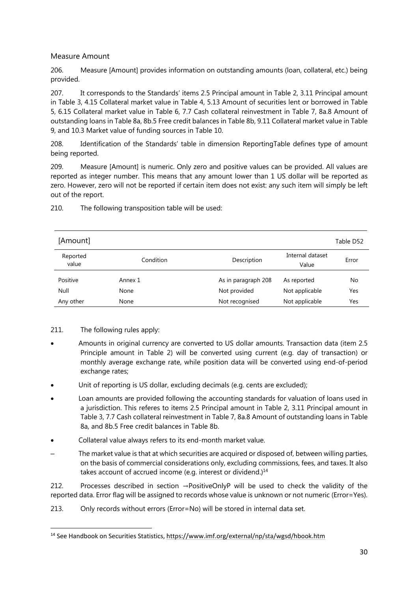## Measure Amount

206. Measure [Amount] provides information on outstanding amounts (loan, collateral, etc.) being provided.

207. It corresponds to the Standards' items 2.5 Principal amount in Table 2, 3.11 Principal amount in Table 3, 4.15 Collateral market value in Table 4, 5.13 Amount of securities lent or borrowed in Table 5, 6.15 Collateral market value in Table 6, 7.7 Cash collateral reinvestment in Table 7, 8a.8 Amount of outstanding loans in Table 8a, 8b.5 Free credit balances in Table 8b, 9.11 Collateral market value in Table 9, and 10.3 Market value of funding sources in Table 10.

208. Identification of the Standards' table in dimension ReportingTable defines type of amount being reported.

209. Measure [Amount] is numeric. Only zero and positive values can be provided. All values are reported as integer number. This means that any amount lower than 1 US dollar will be reported as zero. However, zero will not be reported if certain item does not exist: any such item will simply be left out of the report.

| [Amount]  |             |                     |                  | Table D52 |
|-----------|-------------|---------------------|------------------|-----------|
|           |             |                     |                  |           |
| Reported  | Condition   | Description         | Internal dataset | Error     |
| value     |             |                     | Value            |           |
| Positive  | Annex 1     | As in paragraph 208 | As reported      | No        |
| Null      | <b>None</b> | Not provided        | Not applicable   | Yes       |
| Any other | None        | Not recognised      | Not applicable   | Yes       |

210. The following transposition table will be used:

## 211. The following rules apply:

- Amounts in original currency are converted to US dollar amounts. Transaction data (item 2.5 Principle amount in Table 2) will be converted using current (e.g. day of transaction) or monthly average exchange rate, while position data will be converted using end-of-period exchange rates;
- Unit of reporting is US dollar, excluding decimals (e.g. cents are excluded);
- Loan amounts are provided following the accounting standards for valuation of loans used in a jurisdiction. This referes to items 2.5 Principal amount in Table 2, 3.11 Principal amount in Table 3, 7.7 Cash collateral reinvestment in Table 7, 8a.8 Amount of outstanding loans in Table 8a, and 8b.5 Free credit balances in Table 8b.
- Collateral value always refers to its end-month market value.
- The market value is that at which securities are acquired or disposed of, between willing parties, on the basis of commercial considerations only, excluding commissions, fees, and taxes. It also takes account of accrued income (e.g. interest or dividend.)<sup>14</sup>

212. Processes described in section →PositiveOnlyP will be used to check the validity of the reported data. Error flag will be assigned to records whose value is unknown or not numeric (Error=Yes).

213. Only records without errors (Error=No) will be stored in internal data set.

 $\overline{\phantom{a}}$ 14 See Handbook on Securities Statistics, https://www.imf.org/external/np/sta/wgsd/hbook.htm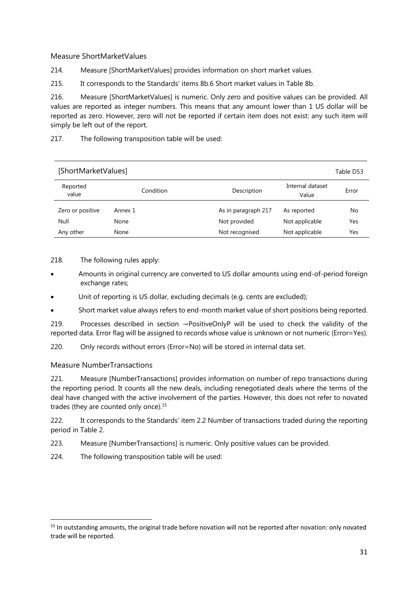## Measure ShortMarketValues

214. Measure [ShortMarketValues] provides information on short market values.

215. It corresponds to the Standards' items 8b.6 Short market values in Table 8b.

216. Measure [ShortMarketValues] is numeric. Only zero and positive values can be provided. All values are reported as integer numbers. This means that any amount lower than 1 US dollar will be reported as zero. However, zero will not be reported if certain item does not exist: any such item will simply be left out of the report.

217. The following transposition table will be used:

| [ShortMarketValues] |           |                     |                           | Table D53 |
|---------------------|-----------|---------------------|---------------------------|-----------|
| Reported<br>value   | Condition | Description         | Internal dataset<br>Value | Error     |
| Zero or positive    | Annex 1   | As in paragraph 217 | As reported               | No        |
| Null                | None      | Not provided        | Not applicable            | Yes       |
| Any other           | None      | Not recognised      | Not applicable            | Yes       |

## 218. The following rules apply:

- Amounts in original currency are converted to US dollar amounts using end-of-period foreign exchange rates;
- Unit of reporting is US dollar, excluding decimals (e.g. cents are excluded);
- Short market value always refers to end-month market value of short positions being reported.

219. Processes described in section →PositiveOnlyP will be used to check the validity of the reported data. Error flag will be assigned to records whose value is unknown or not numeric (Error=Yes).

220. Only records without errors (Error=No) will be stored in internal data set.

## Measure NumberTransactions

 $\overline{\phantom{a}}$ 

221. Measure [NumberTransactions] provides information on number of repo transactions during the reporting period. It counts all the new deals, including renegotiated deals where the terms of the deal have changed with the active involvement of the parties. However, this does not refer to novated trades (they are counted only once).<sup>15</sup>

222. It corresponds to the Standards' item 2.2 Number of transactions traded during the reporting period in Table 2.

- 223. Measure [NumberTransactions] is numeric. Only positive values can be provided.
- 224. The following transposition table will be used:

<sup>&</sup>lt;sup>15</sup> In outstanding amounts, the original trade before novation will not be reported after novation: only novated trade will be reported.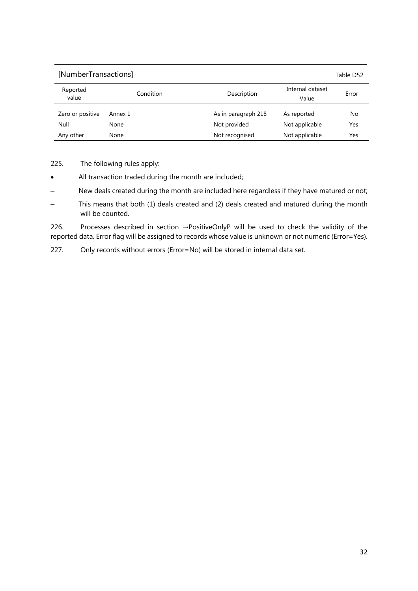| [NumberTransactions] |           |                     |                           | Table D52 |
|----------------------|-----------|---------------------|---------------------------|-----------|
| Reported<br>value    | Condition | Description         | Internal dataset<br>Value | Error     |
| Zero or positive     | Annex 1   | As in paragraph 218 | As reported               | No        |
| Null                 | None      | Not provided        | Not applicable            | Yes       |
| Any other            | None      | Not recognised      | Not applicable            | Yes       |

225. The following rules apply:

- All transaction traded during the month are included;
- New deals created during the month are included here regardless if they have matured or not;
- This means that both (1) deals created and (2) deals created and matured during the month will be counted.

226. Processes described in section →PositiveOnlyP will be used to check the validity of the reported data. Error flag will be assigned to records whose value is unknown or not numeric (Error=Yes).

227. Only records without errors (Error=No) will be stored in internal data set.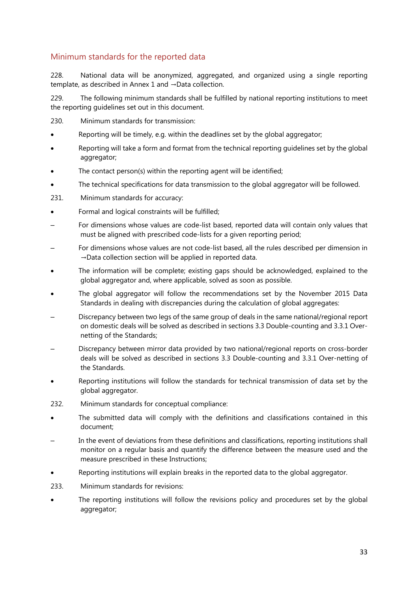## Minimum standards for the reported data

228. National data will be anonymized, aggregated, and organized using a single reporting template, as described in Annex 1 and →Data collection.

229. The following minimum standards shall be fulfilled by national reporting institutions to meet the reporting guidelines set out in this document.

- 230. Minimum standards for transmission:
- Reporting will be timely, e.g. within the deadlines set by the global aggregator;
- Reporting will take a form and format from the technical reporting guidelines set by the global aggregator;
- The contact person(s) within the reporting agent will be identified;
- The technical specifications for data transmission to the global aggregator will be followed.
- 231. Minimum standards for accuracy:
- Formal and logical constraints will be fulfilled;
- For dimensions whose values are code-list based, reported data will contain only values that must be aligned with prescribed code-lists for a given reporting period;
- For dimensions whose values are not code-list based, all the rules described per dimension in →Data collection section will be applied in reported data.
- The information will be complete; existing gaps should be acknowledged, explained to the global aggregator and, where applicable, solved as soon as possible.
- The global aggregator will follow the recommendations set by the November 2015 Data Standards in dealing with discrepancies during the calculation of global aggregates:
- Discrepancy between two legs of the same group of deals in the same national/regional report on domestic deals will be solved as described in sections 3.3 Double-counting and 3.3.1 Overnetting of the Standards;
- Discrepancy between mirror data provided by two national/regional reports on cross-border deals will be solved as described in sections 3.3 Double-counting and 3.3.1 Over-netting of the Standards.
- Reporting institutions will follow the standards for technical transmission of data set by the global aggregator.
- 232. Minimum standards for conceptual compliance:
- The submitted data will comply with the definitions and classifications contained in this document;
- In the event of deviations from these definitions and classifications, reporting institutions shall monitor on a regular basis and quantify the difference between the measure used and the measure prescribed in these Instructions;
- Reporting institutions will explain breaks in the reported data to the global aggregator.
- 233. Minimum standards for revisions:
- The reporting institutions will follow the revisions policy and procedures set by the global aggregator;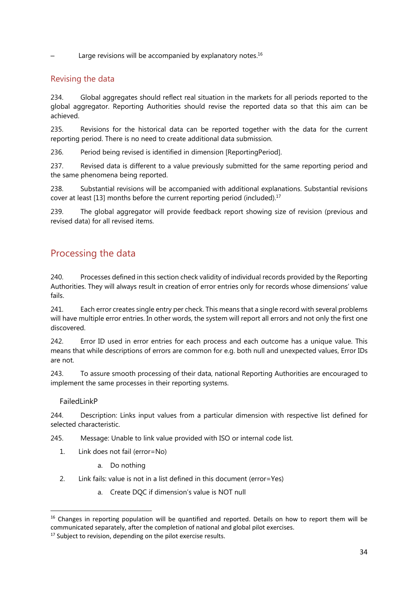Large revisions will be accompanied by explanatory notes. $16$ 

## Revising the data

234. Global aggregates should reflect real situation in the markets for all periods reported to the global aggregator. Reporting Authorities should revise the reported data so that this aim can be achieved.

235. Revisions for the historical data can be reported together with the data for the current reporting period. There is no need to create additional data submission.

236. Period being revised is identified in dimension [ReportingPeriod].

237. Revised data is different to a value previously submitted for the same reporting period and the same phenomena being reported.

238. Substantial revisions will be accompanied with additional explanations. Substantial revisions cover at least [13] months before the current reporting period (included).17

239. The global aggregator will provide feedback report showing size of revision (previous and revised data) for all revised items.

## Processing the data

240. Processes defined in this section check validity of individual records provided by the Reporting Authorities. They will always result in creation of error entries only for records whose dimensions' value fails.

241. Each error creates single entry per check. This means that a single record with several problems will have multiple error entries. In other words, the system will report all errors and not only the first one discovered.

242. Error ID used in error entries for each process and each outcome has a unique value. This means that while descriptions of errors are common for e.g. both null and unexpected values, Error IDs are not.

243. To assure smooth processing of their data, national Reporting Authorities are encouraged to implement the same processes in their reporting systems.

## FailedLinkP

 $\overline{\phantom{a}}$ 

244. Description: Links input values from a particular dimension with respective list defined for selected characteristic.

245. Message: Unable to link value provided with ISO or internal code list.

- 1. Link does not fail (error=No)
	- a. Do nothing
- 2. Link fails: value is not in a list defined in this document (error=Yes)
	- a. Create DQC if dimension's value is NOT null

 $16$  Changes in reporting population will be quantified and reported. Details on how to report them will be communicated separately, after the completion of national and global pilot exercises. 17 Subject to revision, depending on the pilot exercise results.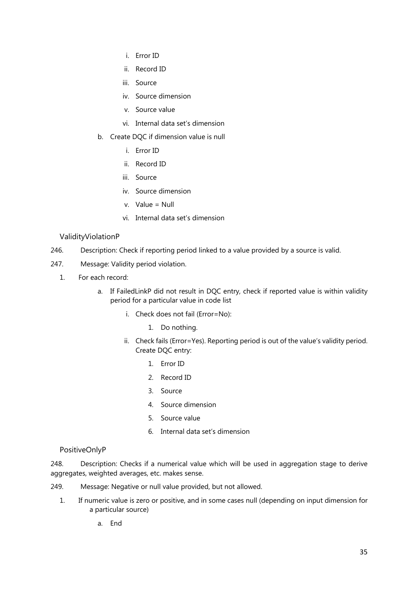- i. Error ID
- ii. Record ID
- iii. Source
- iv. Source dimension
- v. Source value
- vi. Internal data set's dimension
- b. Create DQC if dimension value is null
	- i. Error ID
	- ii. Record ID
	- iii. Source
	- iv. Source dimension
	- v. Value = Null
	- vi. Internal data set's dimension

#### ValidityViolationP

- 246. Description: Check if reporting period linked to a value provided by a source is valid.
- 247. Message: Validity period violation.
	- 1. For each record:
		- a. If FailedLinkP did not result in DQC entry, check if reported value is within validity period for a particular value in code list
			- i. Check does not fail (Error=No):
				- 1. Do nothing.
			- ii. Check fails (Error=Yes). Reporting period is out of the value's validity period. Create DQC entry:
				- 1. Error ID
				- 2. Record ID
				- 3. Source
				- 4. Source dimension
				- 5. Source value
				- 6. Internal data set's dimension

#### PositiveOnlyP

248. Description: Checks if a numerical value which will be used in aggregation stage to derive aggregates, weighted averages, etc. makes sense.

- 249. Message: Negative or null value provided, but not allowed.
	- 1. If numeric value is zero or positive, and in some cases null (depending on input dimension for a particular source)
		- a. End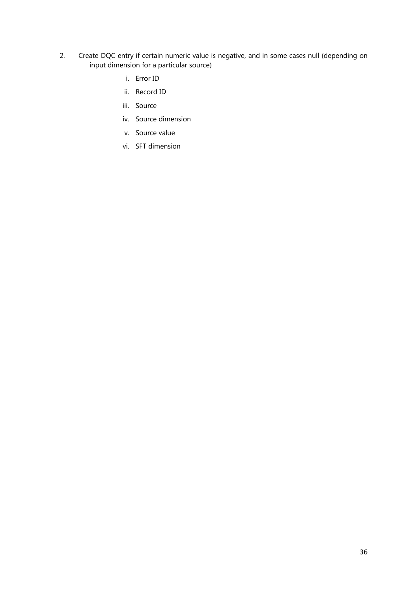- 2. Create DQC entry if certain numeric value is negative, and in some cases null (depending on input dimension for a particular source)
	- i. Error ID
	- ii. Record ID
	- iii. Source
	- iv. Source dimension
	- v. Source value
	- vi. SFT dimension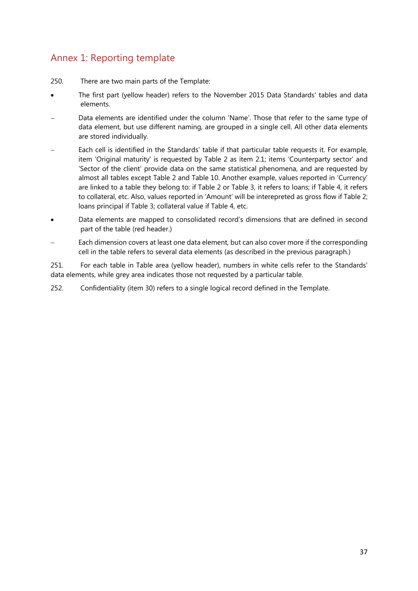## Annex 1: Reporting template

- 250. There are two main parts of the Template:
- The first part (yellow header) refers to the November 2015 Data Standards' tables and data elements.
- Data elements are identified under the column 'Name'. Those that refer to the same type of data element, but use different naming, are grouped in a single cell. All other data elements are stored individually.
- Each cell is identified in the Standards' table if that particular table requests it. For example, item 'Original maturity' is requested by Table 2 as item 2.1; items 'Counterparty sector' and 'Sector of the client' provide data on the same statistical phenomena, and are requested by almost all tables except Table 2 and Table 10. Another example, values reported in 'Currency' are linked to a table they belong to: if Table 2 or Table 3, it refers to loans; if Table 4, it refers to collateral, etc. Also, values reported in 'Amount' will be interepreted as gross flow if Table 2; loans principal if Table 3; collateral value if Table 4, etc.
- Data elements are mapped to consolidated record's dimensions that are defined in second part of the table (red header.)
- Each dimension covers at least one data element, but can also cover more if the corresponding cell in the table refers to several data elements (as described in the previous paragraph.)

251. For each table in Table area (yellow header), numbers in white cells refer to the Standards' data elements, while grey area indicates those not requested by a particular table.

252. Confidentiality (item 30) refers to a single logical record defined in the Template.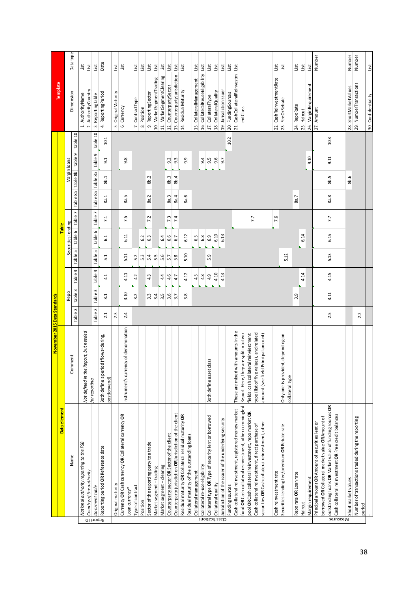|                 |                                                                                                       | November 2015 Data Standards                                                   |            |                |            |         |                    |            |                   |              |                  |          |                                        |           |
|-----------------|-------------------------------------------------------------------------------------------------------|--------------------------------------------------------------------------------|------------|----------------|------------|---------|--------------------|------------|-------------------|--------------|------------------|----------|----------------------------------------|-----------|
|                 | Data element                                                                                          |                                                                                |            |                |            |         | <b>Table</b>       |            |                   |              |                  |          | Template                               |           |
|                 | Name                                                                                                  | Comment                                                                        |            | Repo           |            |         | Securities lending |            |                   | Margin loans |                  |          | Dimension                              | Data type |
|                 |                                                                                                       |                                                                                | N<br>Table | Table 3        | 4<br>Table | Table 5 | Table 6            | r<br>Table | 88<br>Table       | Table 8b     | Table 9          | Table 10 |                                        |           |
|                 | National authority reporting to the FSB                                                               | eport, but needed<br>Not defined in the R                                      |            |                |            |         |                    |            |                   |              |                  |          | AuthorityName<br>$\div$                | List      |
|                 | Country of the authority                                                                              | for reporting                                                                  |            |                |            |         |                    |            |                   |              |                  |          | AuthorityCountry<br>2.                 | List      |
| Report ID       | Document table                                                                                        |                                                                                | Table 2    | Table 3        | Table 4    | Table 5 | Table 6            | Table 7    | Table 8a Table 8b |              | Table 9          | Table 10 | ReportingTable<br>$\sim$               | List      |
|                 | Reporting period OR Reference date                                                                    | Both define a period (flows=during,<br>postion=end)                            | 2.1        | 3.1            | 4.1        | 51      | $\overline{61}$    | 7.1        | 8a.1              | 3b.1         | $\overline{9.1}$ | 10.1     | ReportingPeriod<br>4                   | Date      |
|                 | Original maturity                                                                                     |                                                                                | 2.3        |                |            |         |                    |            |                   |              |                  |          | <b>Original Maturity</b><br>ιή         | List      |
|                 | Currency OR Cash currency OR Collateral currency OR                                                   |                                                                                |            |                |            |         |                    |            |                   |              |                  |          | Currency<br>6                          | List      |
|                 | Loan currency*                                                                                        | ncy of denomination<br>nstrument's currer                                      | 2.4        | 3.10           | 4.11       | 5.11    | 6.11               | 7.5        | π.<br>æ.          |              | 9.8              |          |                                        |           |
|                 | Type of contract                                                                                      |                                                                                |            | 3.2            | 4.2        | 5.2     |                    |            |                   |              |                  |          | ContractType<br>J.                     | List      |
|                 | Position                                                                                              |                                                                                |            |                |            | 5.3     | 62                 |            |                   |              |                  |          | Position<br>$\infty$                   | List      |
|                 | Sector of the reporting party to a trade                                                              |                                                                                |            | $\,$<br>ന്     | 4.3        | 5.4     | 6.3                | 7.2        | 8a.2              | 8b.2         |                  |          | ReportingSector<br>o,                  | List      |
|                 | Market segment-trading                                                                                |                                                                                |            | 3.4            |            | 5.5     |                    |            |                   |              |                  |          | MarketSegmentTrading<br>10.            | List      |
|                 | Market segment-clearing                                                                               |                                                                                |            | 3.5            | 4.4        | 5.6     | 6.4                |            |                   |              |                  |          | MarketSegmentClearing<br>11.           | List      |
|                 | Counterparty sector OR Sector of the client                                                           |                                                                                |            | 3.6            | 4.6        | 5.7     | 6.6                | 7.3        | 8a.3              | 8b.3         | 9.2              |          | CounterpartySector<br>12.              | List      |
|                 | Counterparty jurisdiction OR Jurisdiction of the client                                               |                                                                                |            | 3.7            | 4.7        | 5.8     | 67                 | 7.4        | 8a.4              | 8b.4         | $9.\overline{3}$ |          | CounterpartyJurisdiction<br>13.        | List      |
|                 | Residual maturity OR Collateral residual maturity OR                                                  |                                                                                |            | $\infty$<br>ന് | 4.12       | 5.10    | 6.12               |            | ڢ<br>æ.           |              | 9.9              |          | Residual Maturity<br>$\overline{4}$    | List      |
|                 | Residual maturity of the outstanding loans                                                            |                                                                                |            |                |            |         |                    |            |                   |              |                  |          |                                        |           |
|                 | Collateral management                                                                                 |                                                                                |            |                | 4.5        |         | 6.5                |            |                   |              |                  |          | CollateralManagement<br>15.            | List      |
|                 | Collateral re-use eligibility                                                                         |                                                                                |            |                | 4.8        |         | 6.8                |            |                   |              | 9.4              |          | CollateralReuseEligibility<br>16.      | List      |
|                 | Collateral type OR Type of security lent or borrowed                                                  | lass<br>Both define asset cl                                                   |            |                | 4.9        | 5.9     | 6.9                |            |                   |              | 9.5              |          | CollateralType<br>17.                  | List      |
| Classifications | Collateral quality                                                                                    |                                                                                |            |                | 4.10       |         | 6.10               |            |                   |              | 9.6              |          | CollateralQuality<br>$\overline{18}$ . | List      |
|                 | Jurisdiction of the issuer of the underlying security                                                 |                                                                                |            |                | 4.13       |         | 6.13               |            |                   |              | 9.7              |          | JurisdictionIssuer<br>$\overline{19}$  | List      |
|                 | Funding sources                                                                                       |                                                                                |            |                |            |         |                    |            |                   |              |                  | 10.2     | FundingSources<br>20.                  | List      |
|                 | Cash collateral reinvestment, registered money market                                                 | ith amounts in the<br>These are mixed wi                                       |            |                |            |         |                    |            |                   |              |                  |          | CashCollateralReinvestm<br>21.         | List      |
|                 | fund OR Cash collateral reinvestment, other commingled                                                | are split into two<br>Report. Here, they                                       |            |                |            |         |                    |            |                   |              |                  |          | entClass                               |           |
|                 | pool OR Cash collateral reinvestment, repo market OR                                                  | fields: cash collateral reinviestment                                          |            |                |            |         |                    | 7.7        |                   |              |                  |          |                                        |           |
|                 | securities OR Cash collateral reinvestment, other<br>Cash collateral reinvestment, direct purchase of | type (list of five values), and related<br>amount (see field Principal amount) |            |                |            |         |                    |            |                   |              |                  |          |                                        |           |
|                 |                                                                                                       |                                                                                |            |                |            |         |                    |            |                   |              |                  |          |                                        |           |
|                 | Cash reinvestment rate                                                                                |                                                                                |            |                |            |         |                    | 7.6        |                   |              |                  |          | CashReinvestmentRate<br>22.            | List      |
|                 | Securities lending fee/premium OR Rebate rate                                                         | d, depending on<br>Only one is provide<br>collateral type                      |            |                |            | 5.12    |                    |            |                   |              |                  |          | FeeOrRebate<br>23.                     | List      |
|                 | Reporate OR Loan rate                                                                                 |                                                                                |            | 3.9            |            |         |                    |            | 8a.7              |              |                  |          | RepoRate<br>24.                        | List      |
|                 | Haircut                                                                                               |                                                                                |            |                | 4.14       |         | 6.14               |            |                   |              |                  |          | Haircut<br>25.                         | List      |
|                 | Margin requirement                                                                                    |                                                                                |            |                |            |         |                    |            |                   |              | 9.10             |          | MarginRequirement<br>26.               | List      |
|                 | borrowed OR Collateral market value OR Amount of<br>Principal amount OR Amount of securities lent or  |                                                                                |            |                |            |         |                    |            |                   |              |                  |          | Amount<br>27.                          | Number    |
|                 | outstanding loans OR Market value of funding sources OR                                               |                                                                                | 2.5        | 3.11           | 4.15       | 5.13    | 6.15               | 7.7        | 8a.8              | 8b.5         | 9.11             | 10.3     |                                        |           |
| Measures        | Cash collateral reinvestment OR Free credit balances                                                  |                                                                                |            |                |            |         |                    |            |                   |              |                  |          |                                        |           |
|                 | Short market values                                                                                   |                                                                                |            |                |            |         |                    |            |                   | 8b.6         |                  |          | ShortMarketValues<br>28.               | Number    |
|                 | Number of transactions traded during the reporting                                                    |                                                                                |            |                |            |         |                    |            |                   |              |                  |          | NumberTransactions<br>29.              | Number    |
|                 | period                                                                                                |                                                                                | 2.2        |                |            |         |                    |            |                   |              |                  |          |                                        |           |
|                 |                                                                                                       |                                                                                |            |                |            |         |                    |            |                   |              |                  |          | 30. Confidentiality                    | List      |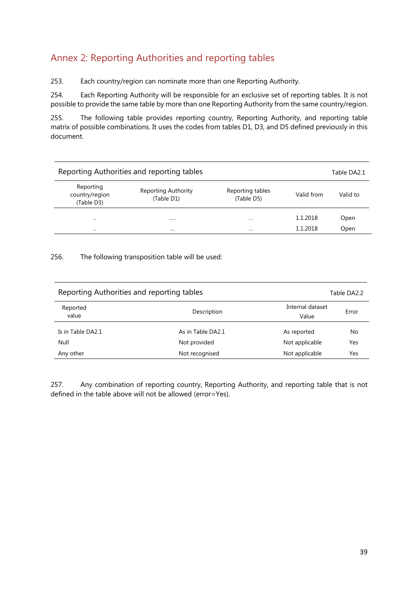## Annex 2: Reporting Authorities and reporting tables

253. Each country/region can nominate more than one Reporting Authority.

254. Each Reporting Authority will be responsible for an exclusive set of reporting tables. It is not possible to provide the same table by more than one Reporting Authority from the same country/region.

255. The following table provides reporting country, Reporting Authority, and reporting table matrix of possible combinations. It uses the codes from tables D1, D3, and D5 defined previously in this document.

|                                           | Reporting Authorities and reporting tables |                                |            | Table DA2.1 |
|-------------------------------------------|--------------------------------------------|--------------------------------|------------|-------------|
| Reporting<br>country/region<br>(Table D3) | <b>Reporting Authority</b><br>(Table D1)   | Reporting tables<br>(Table D5) | Valid from | Valid to    |
| $\cdot$                                   |                                            | $\cdots$                       | 1.1.2018   | Open        |
| $\cdot$                                   | $\cdots$                                   | $\cdots$                       | 1.1.2018   | Open        |

256. The following transposition table will be used:

| Reporting Authorities and reporting tables |                   | Table DA2.2               |       |
|--------------------------------------------|-------------------|---------------------------|-------|
| Reported<br>value                          | Description       | Internal dataset<br>Value | Error |
| Is in Table DA2.1                          | As in Table DA2.1 | As reported               | No    |
| Null                                       | Not provided      | Not applicable            | Yes   |
| Any other                                  | Not recognised    | Not applicable            | Yes   |

257. Any combination of reporting country, Reporting Authority, and reporting table that is not defined in the table above will not be allowed (error=Yes).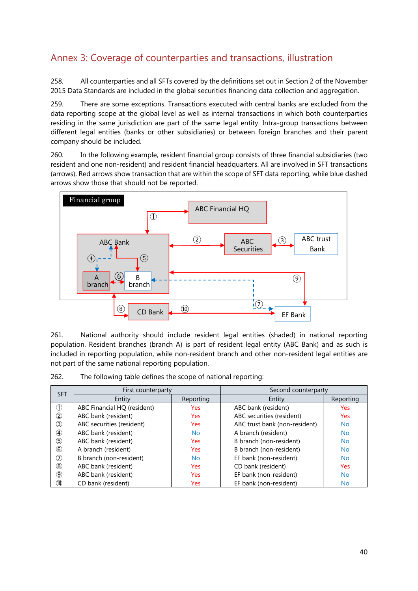## Annex 3: Coverage of counterparties and transactions, illustration

258. All counterparties and all SFTs covered by the definitions set out in Section 2 of the November 2015 Data Standards are included in the global securities financing data collection and aggregation.

259. There are some exceptions. Transactions executed with central banks are excluded from the data reporting scope at the global level as well as internal transactions in which both counterparties residing in the same jurisdiction are part of the same legal entity. Intra-group transactions between different legal entities (banks or other subsidiaries) or between foreign branches and their parent company should be included.

260. In the following example, resident financial group consists of three financial subsidiaries (two resident and one non-resident) and resident financial headquarters. All are involved in SFT transactions (arrows). Red arrows show transaction that are within the scope of SFT data reporting, while blue dashed arrows show those that should not be reported.



261. National authority should include resident legal entities (shaded) in national reporting population. Resident branches (branch A) is part of resident legal entity (ABC Bank) and as such is included in reporting population, while non-resident branch and other non-resident legal entities are not part of the same national reporting population.

| 262. | The following table defines the scope of national reporting: |  |  |
|------|--------------------------------------------------------------|--|--|
|      |                                                              |  |  |

| <b>SFT</b>     | First counterparty          |            | Second counterparty           |            |  |
|----------------|-----------------------------|------------|-------------------------------|------------|--|
|                | Entity                      | Reporting  | Entity                        | Reporting  |  |
| $\circled{1}$  | ABC Financial HQ (resident) | <b>Yes</b> | ABC bank (resident)           | Yes        |  |
| $^{\circledR}$ | ABC bank (resident)         | <b>Yes</b> | ABC securities (resident)     | <b>Yes</b> |  |
| ③              | ABC securities (resident)   | <b>Yes</b> | ABC trust bank (non-resident) | <b>No</b>  |  |
| ④              | ABC bank (resident)         | <b>No</b>  | A branch (resident)           | No         |  |
| $\circledS$    | ABC bank (resident)         | <b>Yes</b> | B branch (non-resident)       | No         |  |
| $^\circledR$   | A branch (resident)         | <b>Yes</b> | B branch (non-resident)       | No         |  |
| $^\circledR$   | B branch (non-resident)     | <b>No</b>  | EF bank (non-resident)        | <b>No</b>  |  |
| $^{\circledR}$ | ABC bank (resident)         | <b>Yes</b> | CD bank (resident)            | <b>Yes</b> |  |
| $^\circledR$   | ABC bank (resident)         | <b>Yes</b> | EF bank (non-resident)        | No.        |  |
| ◍              | CD bank (resident)          | <b>Yes</b> | EF bank (non-resident)        | No         |  |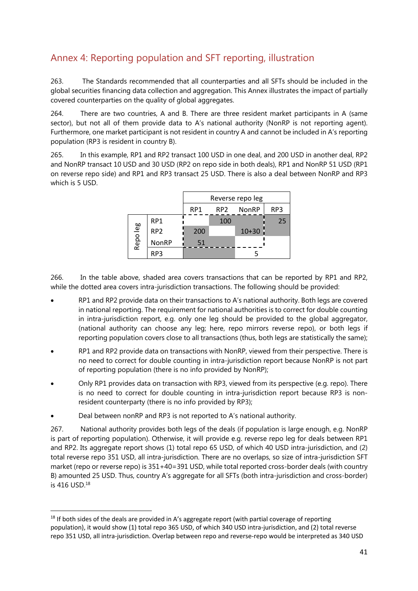## Annex 4: Reporting population and SFT reporting, illustration

263. The Standards recommended that all counterparties and all SFTs should be included in the global securities financing data collection and aggregation. This Annex illustrates the impact of partially covered counterparties on the quality of global aggregates.

264. There are two countries, A and B. There are three resident market participants in A (same sector), but not all of them provide data to A's national authority (NonRP is not reporting agent). Furthermore, one market participant is not resident in country A and cannot be included in A's reporting population (RP3 is resident in country B).

265. In this example, RP1 and RP2 transact 100 USD in one deal, and 200 USD in another deal, RP2 and NonRP transact 10 USD and 30 USD (RP2 on repo side in both deals), RP1 and NonRP 51 USD (RP1 on reverse repo side) and RP1 and RP3 transact 25 USD. There is also a deal between NonRP and RP3 which is 5 USD.

|          |                 | Reverse repo leg |                 |              |     |
|----------|-----------------|------------------|-----------------|--------------|-----|
|          |                 | RP <sub>1</sub>  | RP <sub>2</sub> | <b>NonRP</b> | RP3 |
|          | RP <sub>1</sub> |                  | 100             |              | 25  |
| Repo leg | RP <sub>2</sub> | 200              |                 | $10 + 30$    |     |
|          | NonRP           | 51               |                 |              |     |
|          | RP3             |                  |                 |              |     |

266. In the table above, shaded area covers transactions that can be reported by RP1 and RP2, while the dotted area covers intra-jurisdiction transactions. The following should be provided:

- RP1 and RP2 provide data on their transactions to A's national authority. Both legs are covered in national reporting. The requirement for national authorities is to correct for double counting in intra-jurisdiction report, e.g. only one leg should be provided to the global aggregator, (national authority can choose any leg; here, repo mirrors reverse repo), or both legs if reporting population covers close to all transactions (thus, both legs are statistically the same);
- RP1 and RP2 provide data on transactions with NonRP, viewed from their perspective. There is no need to correct for double counting in intra-jurisdiction report because NonRP is not part of reporting population (there is no info provided by NonRP);
- Only RP1 provides data on transaction with RP3, viewed from its perspective (e.g. repo). There is no need to correct for double counting in intra-jurisdiction report because RP3 is nonresident counterparty (there is no info provided by RP3);
- Deal between nonRP and RP3 is not reported to A's national authority.

 $\overline{\phantom{a}}$ 

267. National authority provides both legs of the deals (if population is large enough, e.g. NonRP is part of reporting population). Otherwise, it will provide e.g. reverse repo leg for deals between RP1 and RP2. Its aggregate report shows (1) total repo 65 USD, of which 40 USD intra-jurisdiction, and (2) total reverse repo 351 USD, all intra-jurisdiction. There are no overlaps, so size of intra-jurisdiction SFT market (repo or reverse repo) is 351+40=391 USD, while total reported cross-border deals (with country B) amounted 25 USD. Thus, country A's aggregate for all SFTs (both intra-jurisdiction and cross-border) is 416 USD.18

 $18$  If both sides of the deals are provided in A's aggregate report (with partial coverage of reporting population), it would show (1) total repo 365 USD, of which 340 USD intra-jurisdiction, and (2) total reverse repo 351 USD, all intra-jurisdiction. Overlap between repo and reverse-repo would be interpreted as 340 USD